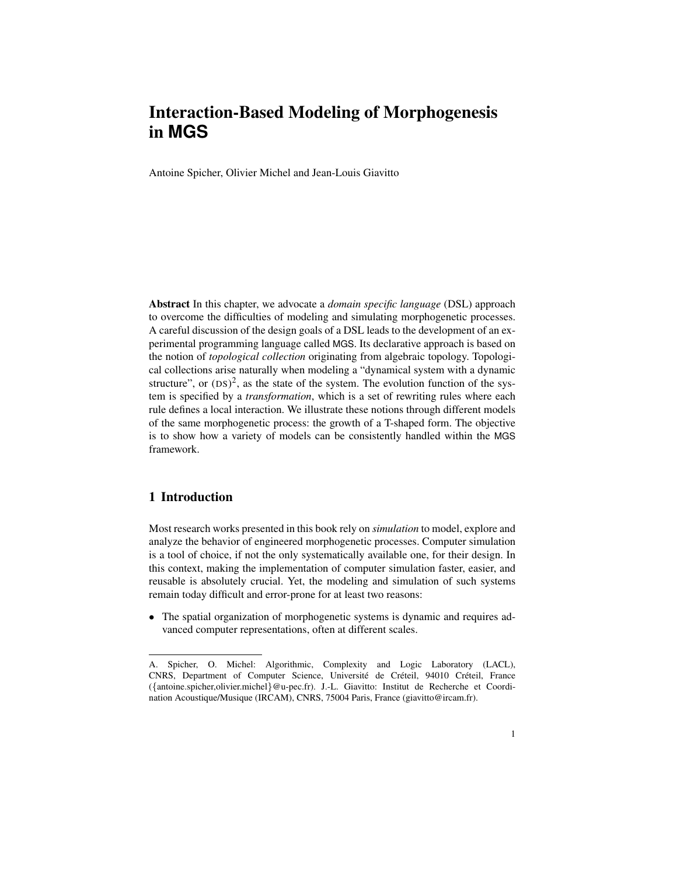Antoine Spicher, Olivier Michel and Jean-Louis Giavitto

Abstract In this chapter, we advocate a *domain specific language* (DSL) approach to overcome the difficulties of modeling and simulating morphogenetic processes. A careful discussion of the design goals of a DSL leads to the development of an experimental programming language called MGS. Its declarative approach is based on the notion of *topological collection* originating from algebraic topology. Topological collections arise naturally when modeling a "dynamical system with a dynamic structure", or  $(DS)^2$ , as the state of the system. The evolution function of the system is specified by a *transformation*, which is a set of rewriting rules where each rule defines a local interaction. We illustrate these notions through different models of the same morphogenetic process: the growth of a T-shaped form. The objective is to show how a variety of models can be consistently handled within the MGS framework.

# 1 Introduction

Most research works presented in this book rely on *simulation* to model, explore and analyze the behavior of engineered morphogenetic processes. Computer simulation is a tool of choice, if not the only systematically available one, for their design. In this context, making the implementation of computer simulation faster, easier, and reusable is absolutely crucial. Yet, the modeling and simulation of such systems remain today difficult and error-prone for at least two reasons:

• The spatial organization of morphogenetic systems is dynamic and requires advanced computer representations, often at different scales.

A. Spicher, O. Michel: Algorithmic, Complexity and Logic Laboratory (LACL), CNRS, Department of Computer Science, Université de Créteil, 94010 Créteil, France ({antoine.spicher,olivier.michel}@u-pec.fr). J.-L. Giavitto: Institut de Recherche et Coordination Acoustique/Musique (IRCAM), CNRS, 75004 Paris, France (giavitto@ircam.fr).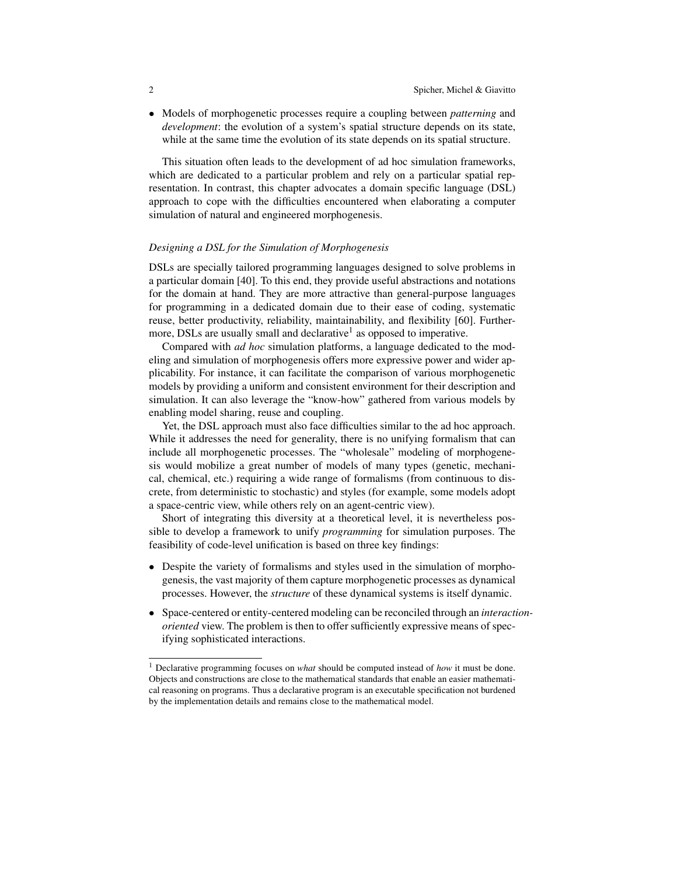• Models of morphogenetic processes require a coupling between *patterning* and *development*: the evolution of a system's spatial structure depends on its state, while at the same time the evolution of its state depends on its spatial structure.

This situation often leads to the development of ad hoc simulation frameworks, which are dedicated to a particular problem and rely on a particular spatial representation. In contrast, this chapter advocates a domain specific language (DSL) approach to cope with the difficulties encountered when elaborating a computer simulation of natural and engineered morphogenesis.

### *Designing a DSL for the Simulation of Morphogenesis*

DSLs are specially tailored programming languages designed to solve problems in a particular domain [40]. To this end, they provide useful abstractions and notations for the domain at hand. They are more attractive than general-purpose languages for programming in a dedicated domain due to their ease of coding, systematic reuse, better productivity, reliability, maintainability, and flexibility [60]. Furthermore, DSLs are usually small and declarative<sup>1</sup> as opposed to imperative.

Compared with *ad hoc* simulation platforms, a language dedicated to the modeling and simulation of morphogenesis offers more expressive power and wider applicability. For instance, it can facilitate the comparison of various morphogenetic models by providing a uniform and consistent environment for their description and simulation. It can also leverage the "know-how" gathered from various models by enabling model sharing, reuse and coupling.

Yet, the DSL approach must also face difficulties similar to the ad hoc approach. While it addresses the need for generality, there is no unifying formalism that can include all morphogenetic processes. The "wholesale" modeling of morphogenesis would mobilize a great number of models of many types (genetic, mechanical, chemical, etc.) requiring a wide range of formalisms (from continuous to discrete, from deterministic to stochastic) and styles (for example, some models adopt a space-centric view, while others rely on an agent-centric view).

Short of integrating this diversity at a theoretical level, it is nevertheless possible to develop a framework to unify *programming* for simulation purposes. The feasibility of code-level unification is based on three key findings:

- Despite the variety of formalisms and styles used in the simulation of morphogenesis, the vast majority of them capture morphogenetic processes as dynamical processes. However, the *structure* of these dynamical systems is itself dynamic.
- Space-centered or entity-centered modeling can be reconciled through an *interactionoriented* view. The problem is then to offer sufficiently expressive means of specifying sophisticated interactions.

<sup>1</sup> Declarative programming focuses on *what* should be computed instead of *how* it must be done. Objects and constructions are close to the mathematical standards that enable an easier mathematical reasoning on programs. Thus a declarative program is an executable specification not burdened by the implementation details and remains close to the mathematical model.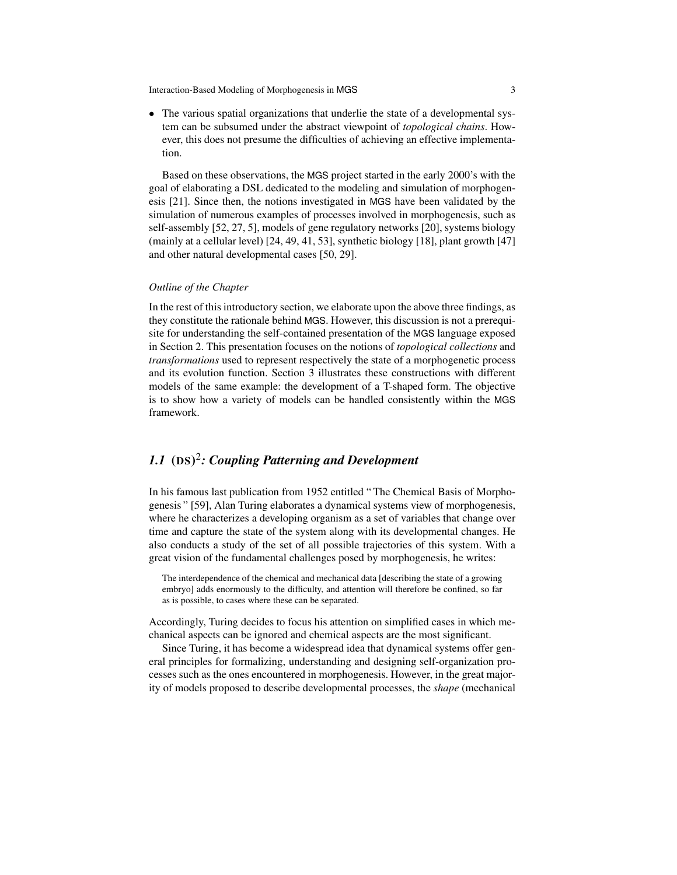• The various spatial organizations that underlie the state of a developmental system can be subsumed under the abstract viewpoint of *topological chains*. However, this does not presume the difficulties of achieving an effective implementation.

Based on these observations, the MGS project started in the early 2000's with the goal of elaborating a DSL dedicated to the modeling and simulation of morphogenesis [21]. Since then, the notions investigated in MGS have been validated by the simulation of numerous examples of processes involved in morphogenesis, such as self-assembly [52, 27, 5], models of gene regulatory networks [20], systems biology (mainly at a cellular level) [24, 49, 41, 53], synthetic biology [18], plant growth [47] and other natural developmental cases [50, 29].

### *Outline of the Chapter*

In the rest of this introductory section, we elaborate upon the above three findings, as they constitute the rationale behind MGS. However, this discussion is not a prerequisite for understanding the self-contained presentation of the MGS language exposed in Section 2. This presentation focuses on the notions of *topological collections* and *transformations* used to represent respectively the state of a morphogenetic process and its evolution function. Section 3 illustrates these constructions with different models of the same example: the development of a T-shaped form. The objective is to show how a variety of models can be handled consistently within the MGS framework.

# *1.1* (DS) 2 *: Coupling Patterning and Development*

In his famous last publication from 1952 entitled " The Chemical Basis of Morphogenesis " [59], Alan Turing elaborates a dynamical systems view of morphogenesis, where he characterizes a developing organism as a set of variables that change over time and capture the state of the system along with its developmental changes. He also conducts a study of the set of all possible trajectories of this system. With a great vision of the fundamental challenges posed by morphogenesis, he writes:

The interdependence of the chemical and mechanical data [describing the state of a growing embryo] adds enormously to the difficulty, and attention will therefore be confined, so far as is possible, to cases where these can be separated.

Accordingly, Turing decides to focus his attention on simplified cases in which mechanical aspects can be ignored and chemical aspects are the most significant.

Since Turing, it has become a widespread idea that dynamical systems offer general principles for formalizing, understanding and designing self-organization processes such as the ones encountered in morphogenesis. However, in the great majority of models proposed to describe developmental processes, the *shape* (mechanical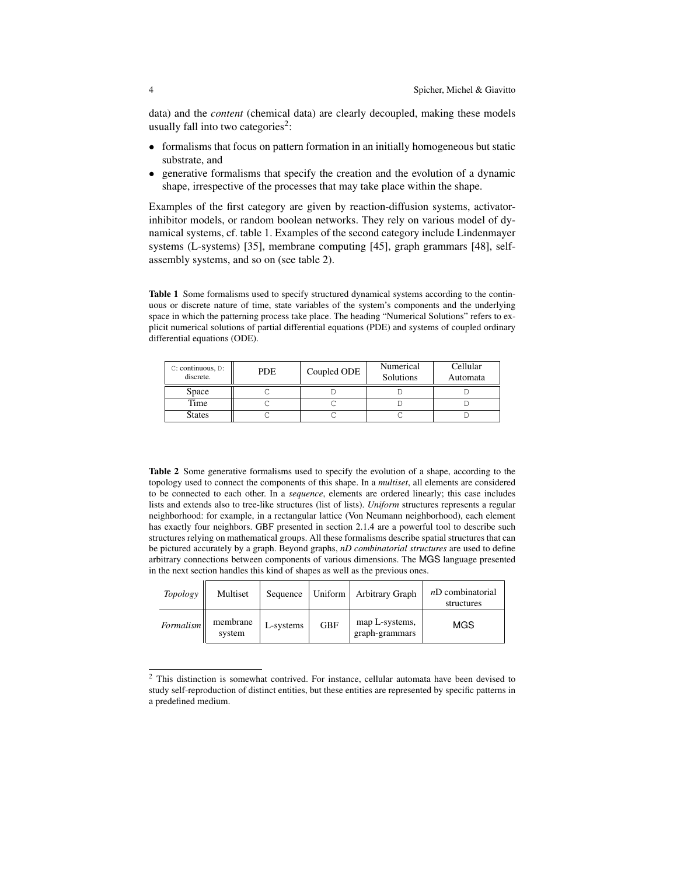data) and the *content* (chemical data) are clearly decoupled, making these models usually fall into two categories<sup>2</sup>:

- formalisms that focus on pattern formation in an initially homogeneous but static substrate, and
- generative formalisms that specify the creation and the evolution of a dynamic shape, irrespective of the processes that may take place within the shape.

Examples of the first category are given by reaction-diffusion systems, activatorinhibitor models, or random boolean networks. They rely on various model of dynamical systems, cf. table 1. Examples of the second category include Lindenmayer systems (L-systems) [35], membrane computing [45], graph grammars [48], selfassembly systems, and so on (see table 2).

Table 1 Some formalisms used to specify structured dynamical systems according to the continuous or discrete nature of time, state variables of the system's components and the underlying space in which the patterning process take place. The heading "Numerical Solutions" refers to explicit numerical solutions of partial differential equations (PDE) and systems of coupled ordinary differential equations (ODE).

| $C:$ continuous, $D:$<br>discrete. | <b>PDE</b> | Coupled ODE | Numerical<br>Solutions | Cellular<br>Automata |
|------------------------------------|------------|-------------|------------------------|----------------------|
| Space                              |            |             |                        |                      |
| Time                               |            |             |                        |                      |
| <b>States</b>                      |            |             |                        |                      |

Table 2 Some generative formalisms used to specify the evolution of a shape, according to the topology used to connect the components of this shape. In a *multiset*, all elements are considered to be connected to each other. In a *sequence*, elements are ordered linearly; this case includes lists and extends also to tree-like structures (list of lists). *Uniform* structures represents a regular neighborhood: for example, in a rectangular lattice (Von Neumann neighborhood), each element has exactly four neighbors. GBF presented in section 2.1.4 are a powerful tool to describe such structures relying on mathematical groups. All these formalisms describe spatial structures that can be pictured accurately by a graph. Beyond graphs, *nD combinatorial structures* are used to define arbitrary connections between components of various dimensions. The MGS language presented in the next section handles this kind of shapes as well as the previous ones.

| Topology         | Multiset           | Sequence  |            | Uniform   Arbitrary Graph        | $nD$ combinatorial<br>structures |
|------------------|--------------------|-----------|------------|----------------------------------|----------------------------------|
| <b>Formalism</b> | membrane<br>system | L-systems | <b>GBF</b> | map L-systems,<br>graph-grammars | MGS                              |

<sup>&</sup>lt;sup>2</sup> This distinction is somewhat contrived. For instance, cellular automata have been devised to study self-reproduction of distinct entities, but these entities are represented by specific patterns in a predefined medium.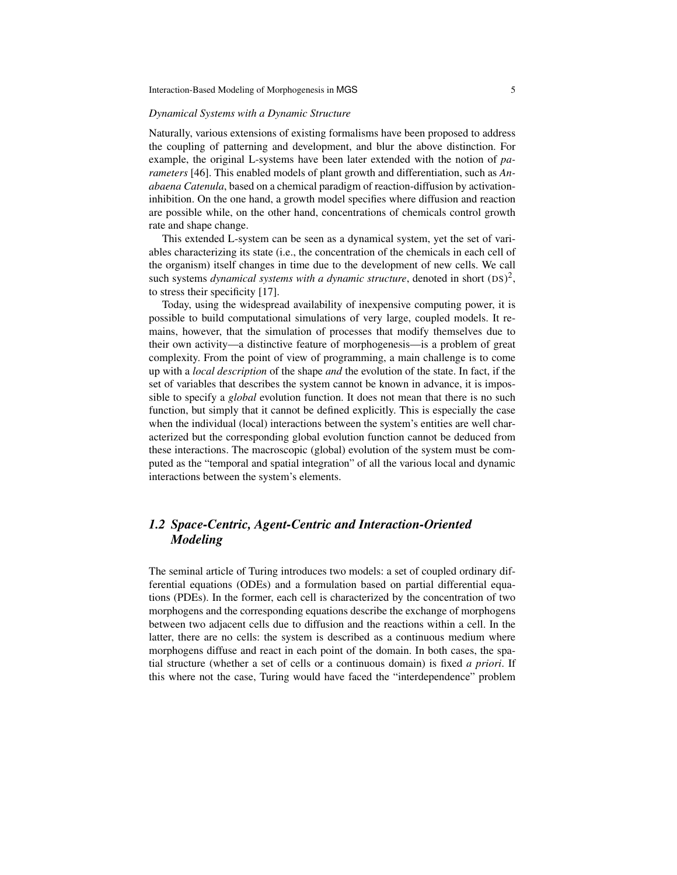#### *Dynamical Systems with a Dynamic Structure*

Naturally, various extensions of existing formalisms have been proposed to address the coupling of patterning and development, and blur the above distinction. For example, the original L-systems have been later extended with the notion of *parameters* [46]. This enabled models of plant growth and differentiation, such as *Anabaena Catenula*, based on a chemical paradigm of reaction-diffusion by activationinhibition. On the one hand, a growth model specifies where diffusion and reaction are possible while, on the other hand, concentrations of chemicals control growth rate and shape change.

This extended L-system can be seen as a dynamical system, yet the set of variables characterizing its state (i.e., the concentration of the chemicals in each cell of the organism) itself changes in time due to the development of new cells. We call such systems *dynamical systems with a dynamic structure*, denoted in short  $(DS)^2$ , to stress their specificity [17].

Today, using the widespread availability of inexpensive computing power, it is possible to build computational simulations of very large, coupled models. It remains, however, that the simulation of processes that modify themselves due to their own activity—a distinctive feature of morphogenesis—is a problem of great complexity. From the point of view of programming, a main challenge is to come up with a *local description* of the shape *and* the evolution of the state. In fact, if the set of variables that describes the system cannot be known in advance, it is impossible to specify a *global* evolution function. It does not mean that there is no such function, but simply that it cannot be defined explicitly. This is especially the case when the individual (local) interactions between the system's entities are well characterized but the corresponding global evolution function cannot be deduced from these interactions. The macroscopic (global) evolution of the system must be computed as the "temporal and spatial integration" of all the various local and dynamic interactions between the system's elements.

# *1.2 Space-Centric, Agent-Centric and Interaction-Oriented Modeling*

The seminal article of Turing introduces two models: a set of coupled ordinary differential equations (ODEs) and a formulation based on partial differential equations (PDEs). In the former, each cell is characterized by the concentration of two morphogens and the corresponding equations describe the exchange of morphogens between two adjacent cells due to diffusion and the reactions within a cell. In the latter, there are no cells: the system is described as a continuous medium where morphogens diffuse and react in each point of the domain. In both cases, the spatial structure (whether a set of cells or a continuous domain) is fixed *a priori*. If this where not the case, Turing would have faced the "interdependence" problem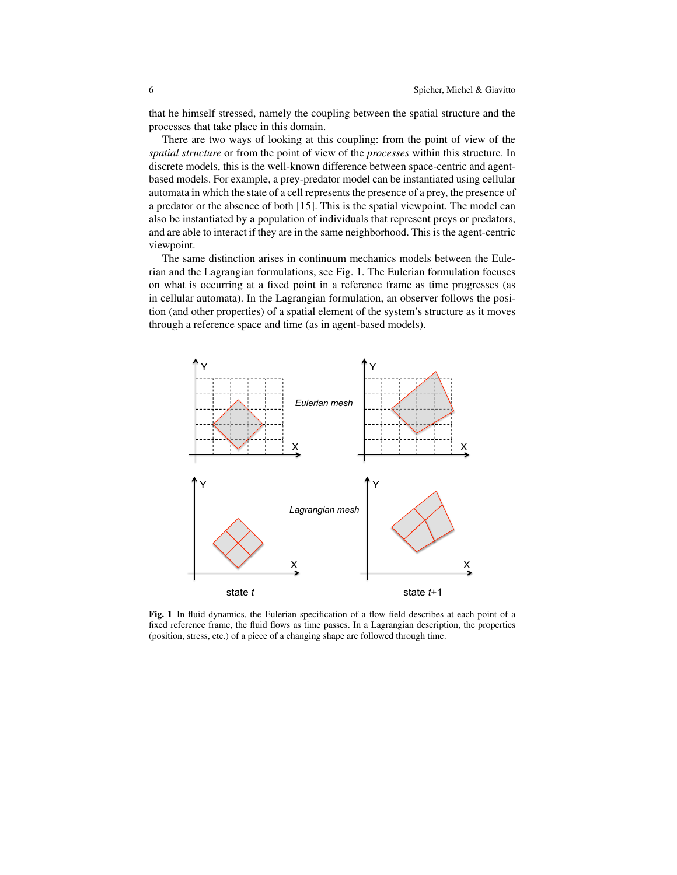that he himself stressed, namely the coupling between the spatial structure and the processes that take place in this domain.

There are two ways of looking at this coupling: from the point of view of the *spatial structure* or from the point of view of the *processes* within this structure. In discrete models, this is the well-known difference between space-centric and agentbased models. For example, a prey-predator model can be instantiated using cellular automata in which the state of a cell represents the presence of a prey, the presence of a predator or the absence of both [15]. This is the spatial viewpoint. The model can also be instantiated by a population of individuals that represent preys or predators, and are able to interact if they are in the same neighborhood. This is the agent-centric viewpoint.

The same distinction arises in continuum mechanics models between the Eulerian and the Lagrangian formulations, see Fig. 1. The Eulerian formulation focuses on what is occurring at a fixed point in a reference frame as time progresses (as in cellular automata). In the Lagrangian formulation, an observer follows the position (and other properties) of a spatial element of the system's structure as it moves through a reference space and time (as in agent-based models).



Fig. 1 In fluid dynamics, the Eulerian specification of a flow field describes at each point of a fixed reference frame, the fluid flows as time passes. In a Lagrangian description, the properties (position, stress, etc.) of a piece of a changing shape are followed through time.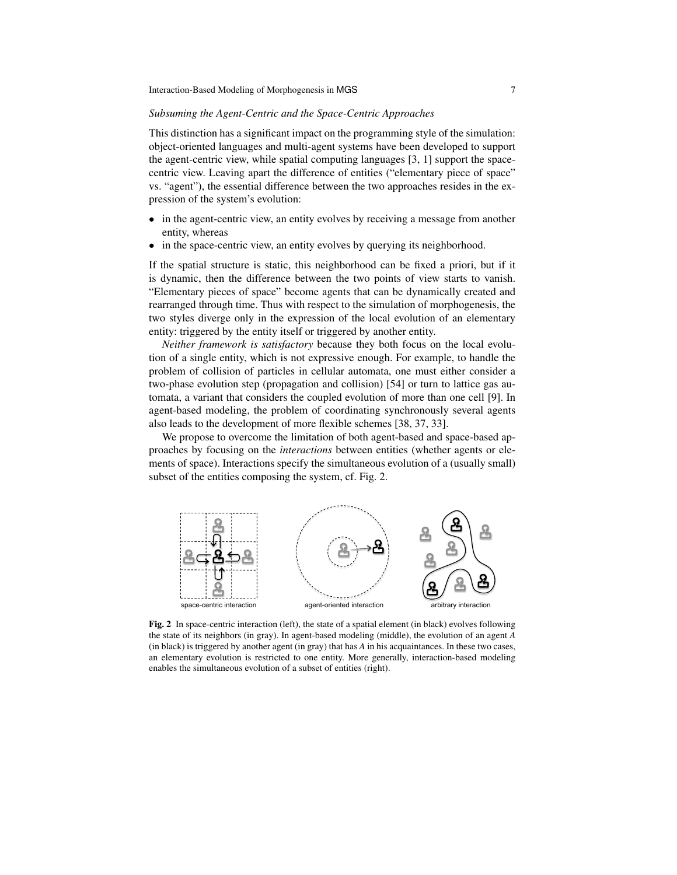#### *Subsuming the Agent-Centric and the Space-Centric Approaches*

This distinction has a significant impact on the programming style of the simulation: object-oriented languages and multi-agent systems have been developed to support the agent-centric view, while spatial computing languages [3, 1] support the spacecentric view. Leaving apart the difference of entities ("elementary piece of space" vs. "agent"), the essential difference between the two approaches resides in the expression of the system's evolution:

- in the agent-centric view, an entity evolves by receiving a message from another entity, whereas
- in the space-centric view, an entity evolves by querying its neighborhood.

If the spatial structure is static, this neighborhood can be fixed a priori, but if it is dynamic, then the difference between the two points of view starts to vanish. "Elementary pieces of space" become agents that can be dynamically created and rearranged through time. Thus with respect to the simulation of morphogenesis, the two styles diverge only in the expression of the local evolution of an elementary entity: triggered by the entity itself or triggered by another entity.

*Neither framework is satisfactory* because they both focus on the local evolution of a single entity, which is not expressive enough. For example, to handle the problem of collision of particles in cellular automata, one must either consider a two-phase evolution step (propagation and collision) [54] or turn to lattice gas automata, a variant that considers the coupled evolution of more than one cell [9]. In agent-based modeling, the problem of coordinating synchronously several agents also leads to the development of more flexible schemes [38, 37, 33].

We propose to overcome the limitation of both agent-based and space-based approaches by focusing on the *interactions* between entities (whether agents or elements of space). Interactions specify the simultaneous evolution of a (usually small) subset of the entities composing the system, cf. Fig. 2.



Fig. 2 In space-centric interaction (left), the state of a spatial element (in black) evolves following the state of its neighbors (in gray). In agent-based modeling (middle), the evolution of an agent *A* (in black) is triggered by another agent (in gray) that has *A* in his acquaintances. In these two cases, an elementary evolution is restricted to one entity. More generally, interaction-based modeling enables the simultaneous evolution of a subset of entities (right).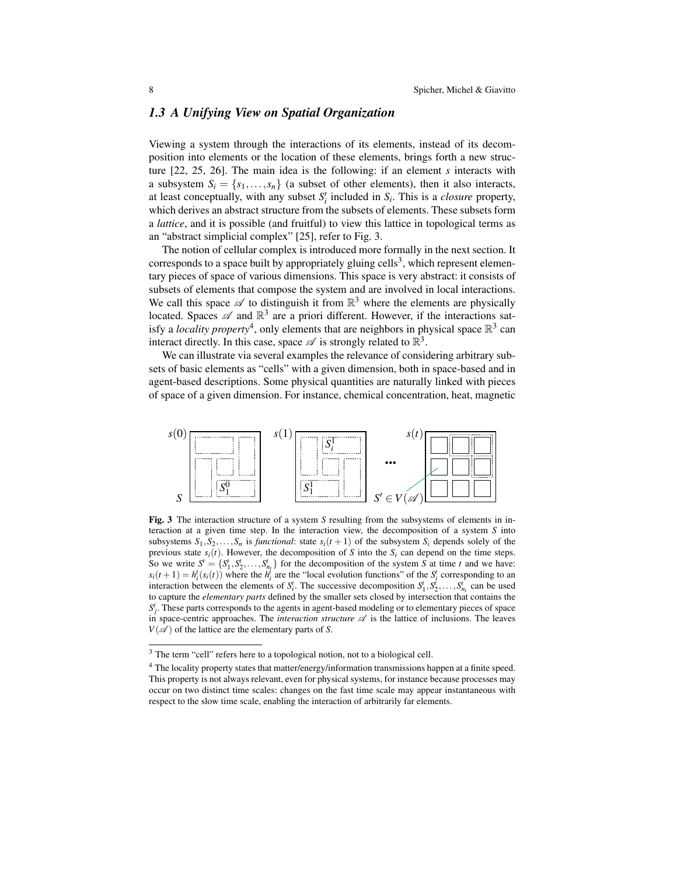# *1.3 A Unifying View on Spatial Organization*

Viewing a system through the interactions of its elements, instead of its decomposition into elements or the location of these elements, brings forth a new structure [22, 25, 26]. The main idea is the following: if an element *s* interacts with a subsystem  $S_i = \{s_1, \ldots, s_n\}$  (a subset of other elements), then it also interacts, at least conceptually, with any subset  $S_i'$  included in  $S_i$ . This is a *closure* property, which derives an abstract structure from the subsets of elements. These subsets form a *lattice*, and it is possible (and fruitful) to view this lattice in topological terms as an "abstract simplicial complex" [25], refer to Fig. 3.

The notion of cellular complex is introduced more formally in the next section. It corresponds to a space built by appropriately gluing cells<sup>3</sup>, which represent elementary pieces of space of various dimensions. This space is very abstract: it consists of subsets of elements that compose the system and are involved in local interactions. We call this space  $\mathscr A$  to distinguish it from  $\mathbb R^3$  where the elements are physically located. Spaces  $\mathscr A$  and  $\mathbb R^3$  are a priori different. However, if the interactions satisfy a *locality property*<sup>4</sup>, only elements that are neighbors in physical space  $\mathbb{R}^3$  can interact directly. In this case, space  $\mathscr A$  is strongly related to  $\mathbb R^3$ .

We can illustrate via several examples the relevance of considering arbitrary subsets of basic elements as "cells" with a given dimension, both in space-based and in agent-based descriptions. Some physical quantities are naturally linked with pieces of space of a given dimension. For instance, chemical concentration, heat, magnetic



Fig. 3 The interaction structure of a system *S* resulting from the subsystems of elements in interaction at a given time step. In the interaction view, the decomposition of a system *S* into subsystems  $S_1, S_2, \ldots, S_n$  is *functional*: state  $s_i(t+1)$  of the subsystem  $S_i$  depends solely of the previous state  $s_i(t)$ . However, the decomposition of *S* into the  $S_i$  can depend on the time steps. So we write  $S^t = \{S^t_1, S^t_2, \ldots, S^t_{n_t}\}$  for the decomposition of the system *S* at time *t* and we have:  $s_i(t+1) = h_i^t(s_i(t))$  where the  $h_i^t$  are the "local evolution functions" of the  $S_i^t$  corresponding to an interaction between the elements of  $S_i^t$ . The successive decomposition  $S_1^t, S_2^t, \ldots, S_{n_t}^t$  can be used to capture the *elementary parts* defined by the smaller sets closed by intersection that contains the  $S^t_j$ . These parts corresponds to the agents in agent-based modeling or to elementary pieces of space in space-centric approaches. The *interaction structure*  $\mathscr A$  is the lattice of inclusions. The leaves  $V(\mathscr{A})$  of the lattice are the elementary parts of *S*.

<sup>&</sup>lt;sup>3</sup> The term "cell" refers here to a topological notion, not to a biological cell.

<sup>4</sup> The locality property states that matter/energy/information transmissions happen at a finite speed. This property is not always relevant, even for physical systems, for instance because processes may occur on two distinct time scales: changes on the fast time scale may appear instantaneous with respect to the slow time scale, enabling the interaction of arbitrarily far elements.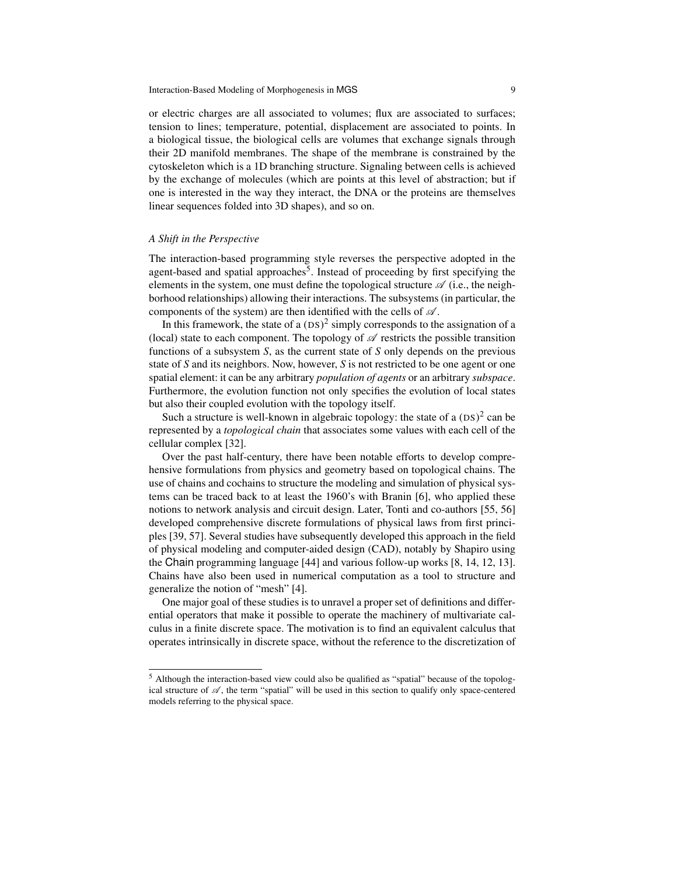or electric charges are all associated to volumes; flux are associated to surfaces; tension to lines; temperature, potential, displacement are associated to points. In a biological tissue, the biological cells are volumes that exchange signals through their 2D manifold membranes. The shape of the membrane is constrained by the cytoskeleton which is a 1D branching structure. Signaling between cells is achieved by the exchange of molecules (which are points at this level of abstraction; but if one is interested in the way they interact, the DNA or the proteins are themselves linear sequences folded into 3D shapes), and so on.

### *A Shift in the Perspective*

The interaction-based programming style reverses the perspective adopted in the agent-based and spatial approaches<sup>5</sup>. Instead of proceeding by first specifying the elements in the system, one must define the topological structure  $\mathscr A$  (i.e., the neighborhood relationships) allowing their interactions. The subsystems (in particular, the components of the system) are then identified with the cells of  $\mathscr A$ .

In this framework, the state of a  $(Ds)^2$  simply corresponds to the assignation of a (local) state to each component. The topology of  $\mathscr A$  restricts the possible transition functions of a subsystem *S*, as the current state of *S* only depends on the previous state of *S* and its neighbors. Now, however, *S* is not restricted to be one agent or one spatial element: it can be any arbitrary *population of agents* or an arbitrary *subspace*. Furthermore, the evolution function not only specifies the evolution of local states but also their coupled evolution with the topology itself.

Such a structure is well-known in algebraic topology: the state of a  $(Ds)^2$  can be represented by a *topological chain* that associates some values with each cell of the cellular complex [32].

Over the past half-century, there have been notable efforts to develop comprehensive formulations from physics and geometry based on topological chains. The use of chains and cochains to structure the modeling and simulation of physical systems can be traced back to at least the 1960's with Branin [6], who applied these notions to network analysis and circuit design. Later, Tonti and co-authors [55, 56] developed comprehensive discrete formulations of physical laws from first principles [39, 57]. Several studies have subsequently developed this approach in the field of physical modeling and computer-aided design (CAD), notably by Shapiro using the Chain programming language [44] and various follow-up works [8, 14, 12, 13]. Chains have also been used in numerical computation as a tool to structure and generalize the notion of "mesh" [4].

One major goal of these studies is to unravel a proper set of definitions and differential operators that make it possible to operate the machinery of multivariate calculus in a finite discrete space. The motivation is to find an equivalent calculus that operates intrinsically in discrete space, without the reference to the discretization of

<sup>5</sup> Although the interaction-based view could also be qualified as "spatial" because of the topological structure of  $\mathscr A$ , the term "spatial" will be used in this section to qualify only space-centered models referring to the physical space.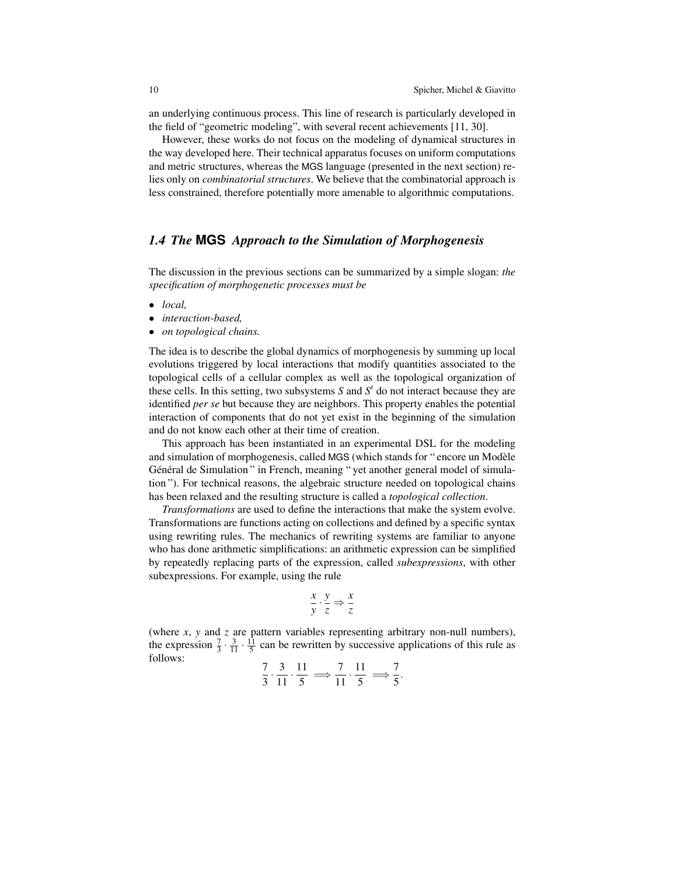an underlying continuous process. This line of research is particularly developed in the field of "geometric modeling", with several recent achievements [11, 30].

However, these works do not focus on the modeling of dynamical structures in the way developed here. Their technical apparatus focuses on uniform computations and metric structures, whereas the MGS language (presented in the next section) relies only on *combinatorial structures*. We believe that the combinatorial approach is less constrained, therefore potentially more amenable to algorithmic computations.

# *1.4 The* **MGS** *Approach to the Simulation of Morphogenesis*

The discussion in the previous sections can be summarized by a simple slogan: *the specification of morphogenetic processes must be*

- *local,*
- *interaction-based,*
- *on topological chains.*

The idea is to describe the global dynamics of morphogenesis by summing up local evolutions triggered by local interactions that modify quantities associated to the topological cells of a cellular complex as well as the topological organization of these cells. In this setting, two subsystems  $S$  and  $S'$  do not interact because they are identified *per se* but because they are neighbors. This property enables the potential interaction of components that do not yet exist in the beginning of the simulation and do not know each other at their time of creation.

This approach has been instantiated in an experimental DSL for the modeling and simulation of morphogenesis, called MGS (which stands for " encore un Modele ` Général de Simulation" in French, meaning " yet another general model of simulation "). For technical reasons, the algebraic structure needed on topological chains has been relaxed and the resulting structure is called a *topological collection*.

*Transformations* are used to define the interactions that make the system evolve. Transformations are functions acting on collections and defined by a specific syntax using rewriting rules. The mechanics of rewriting systems are familiar to anyone who has done arithmetic simplifications: an arithmetic expression can be simplified by repeatedly replacing parts of the expression, called *subexpressions*, with other subexpressions. For example, using the rule

$$
\frac{x}{y} \cdot \frac{y}{z} \Rightarrow \frac{x}{z}
$$

(where *x*, *y* and *z* are pattern variables representing arbitrary non-null numbers), the expression  $\frac{7}{3} \cdot \frac{3}{11} \cdot \frac{11}{5}$  can be rewritten by successive applications of this rule as follows:

$$
\frac{7}{3} \cdot \frac{3}{11} \cdot \frac{11}{5} \Longrightarrow \frac{7}{11} \cdot \frac{11}{5} \Longrightarrow \frac{7}{5}.
$$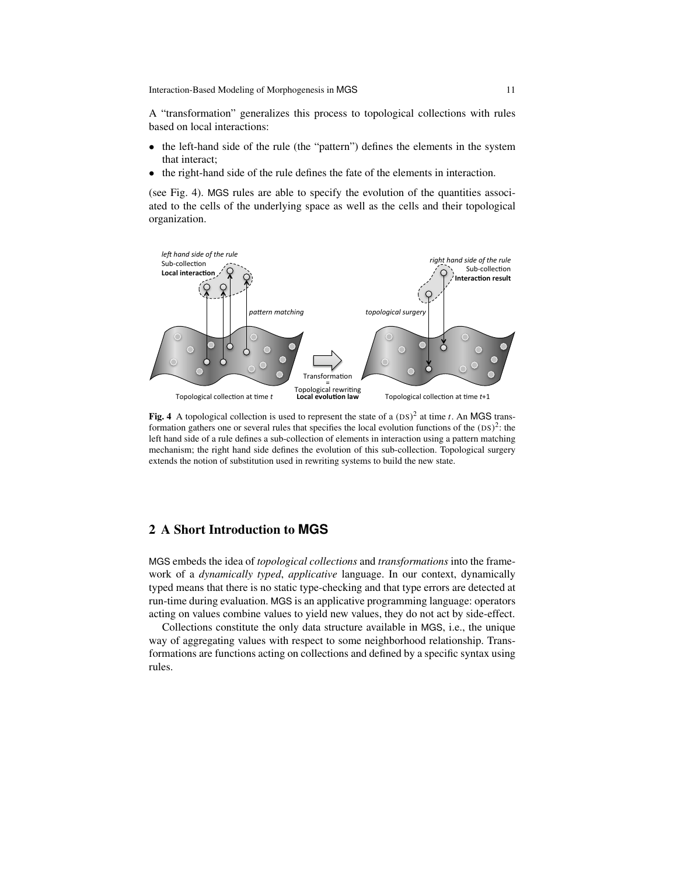A "transformation" generalizes this process to topological collections with rules based on local interactions:

- the left-hand side of the rule (the "pattern") defines the elements in the system that interact;
- the right-hand side of the rule defines the fate of the elements in interaction.

(see Fig. 4). MGS rules are able to specify the evolution of the quantities associated to the cells of the underlying space as well as the cells and their topological organization.



Fig. 4 A topological collection is used to represent the state of a  $(Ds)^2$  at time *t*. An MGS transformation gathers one or several rules that specifies the local evolution functions of the  $(Ds)^2$ : the left hand side of a rule defines a sub-collection of elements in interaction using a pattern matching mechanism; the right hand side defines the evolution of this sub-collection. Topological surgery extends the notion of substitution used in rewriting systems to build the new state.

# 2 A Short Introduction to **MGS**

MGS embeds the idea of *topological collections* and *transformations* into the framework of a *dynamically typed*, *applicative* language. In our context, dynamically typed means that there is no static type-checking and that type errors are detected at run-time during evaluation. MGS is an applicative programming language: operators acting on values combine values to yield new values, they do not act by side-effect.

Collections constitute the only data structure available in MGS, i.e., the unique way of aggregating values with respect to some neighborhood relationship. Transformations are functions acting on collections and defined by a specific syntax using rules.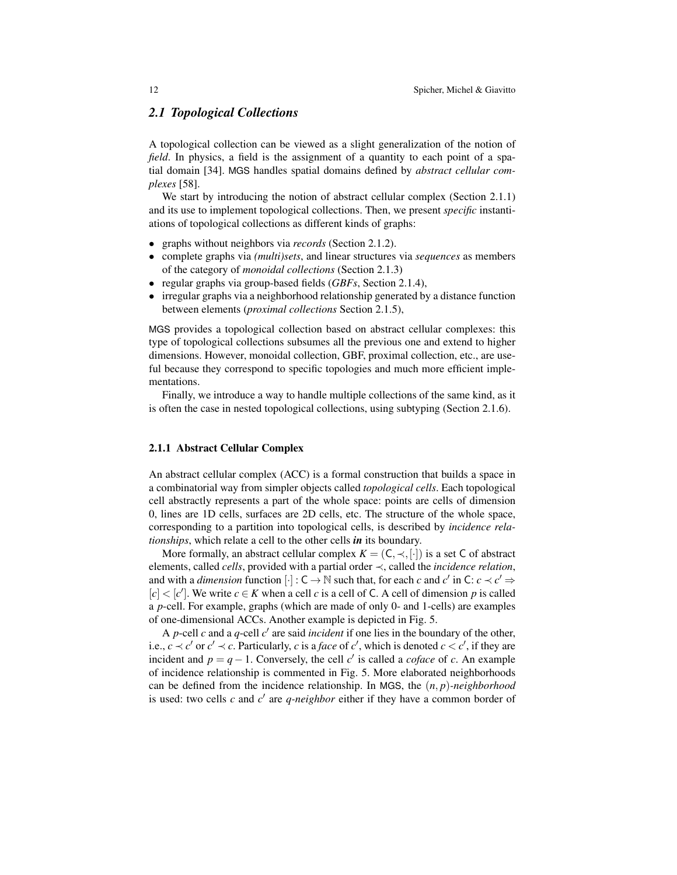# *2.1 Topological Collections*

A topological collection can be viewed as a slight generalization of the notion of *field*. In physics, a field is the assignment of a quantity to each point of a spatial domain [34]. MGS handles spatial domains defined by *abstract cellular complexes* [58].

We start by introducing the notion of abstract cellular complex (Section 2.1.1) and its use to implement topological collections. Then, we present *specific* instantiations of topological collections as different kinds of graphs:

- graphs without neighbors via *records* (Section 2.1.2).
- complete graphs via *(multi)sets*, and linear structures via *sequences* as members of the category of *monoidal collections* (Section 2.1.3)
- regular graphs via group-based fields (*GBFs*, Section 2.1.4),
- irregular graphs via a neighborhood relationship generated by a distance function between elements (*proximal collections* Section 2.1.5),

MGS provides a topological collection based on abstract cellular complexes: this type of topological collections subsumes all the previous one and extend to higher dimensions. However, monoidal collection, GBF, proximal collection, etc., are useful because they correspond to specific topologies and much more efficient implementations.

Finally, we introduce a way to handle multiple collections of the same kind, as it is often the case in nested topological collections, using subtyping (Section 2.1.6).

# 2.1.1 Abstract Cellular Complex

An abstract cellular complex (ACC) is a formal construction that builds a space in a combinatorial way from simpler objects called *topological cells*. Each topological cell abstractly represents a part of the whole space: points are cells of dimension 0, lines are 1D cells, surfaces are 2D cells, etc. The structure of the whole space, corresponding to a partition into topological cells, is described by *incidence relationships*, which relate a cell to the other cells *in* its boundary.

More formally, an abstract cellular complex  $K = (C, \prec, [\cdot])$  is a set C of abstract elements, called *cells*, provided with a partial order ≺, called the *incidence relation*, and with a *dimension* function  $[\cdot] : C \to \mathbb{N}$  such that, for each *c* and *c'* in C:  $c \prec c' \Rightarrow$  $[c] < [c']$ . We write  $c \in K$  when a cell *c* is a cell of C. A cell of dimension *p* is called a *p*-cell. For example, graphs (which are made of only 0- and 1-cells) are examples of one-dimensional ACCs. Another example is depicted in Fig. 5.

A *p*-cell *c* and a *q*-cell *c*' are said *incident* if one lies in the boundary of the other, i.e.,  $c \prec c'$  or  $c' \prec c$ . Particularly, *c* is a *face* of *c*', which is denoted  $c < c'$ , if they are incident and  $p = q - 1$ . Conversely, the cell *c'* is called a *coface* of *c*. An example of incidence relationship is commented in Fig. 5. More elaborated neighborhoods can be defined from the incidence relationship. In MGS, the (*n*, *p*)*-neighborhood* is used: two cells  $c$  and  $c'$  are  $q$ -neighbor either if they have a common border of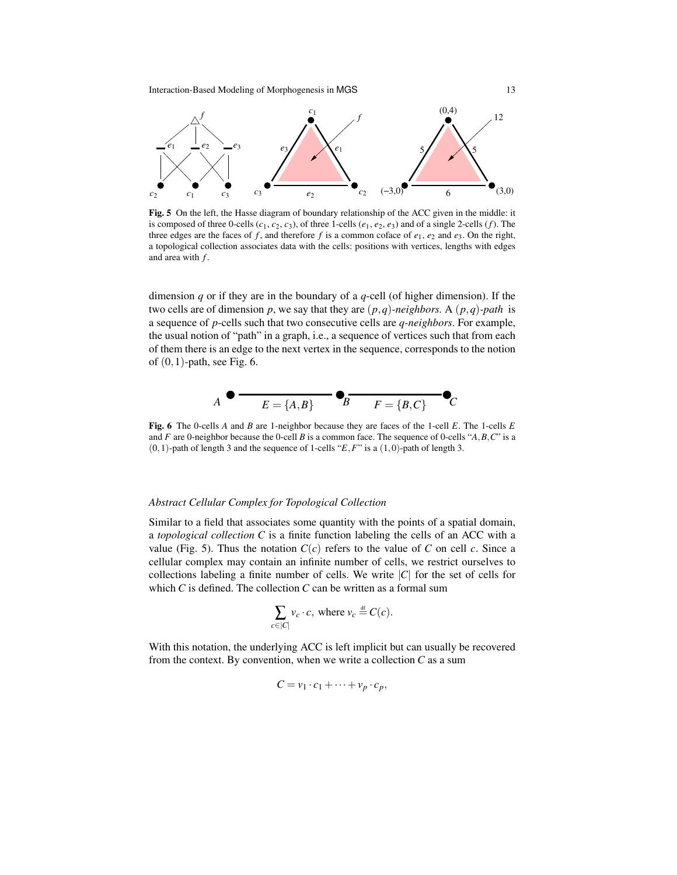

Fig. 5 On the left, the Hasse diagram of boundary relationship of the ACC given in the middle: it is composed of three 0-cells  $(c_1, c_2, c_3)$ , of three 1-cells  $(e_1, e_2, e_3)$  and of a single 2-cells  $(f)$ . The three edges are the faces of  $f$ , and therefore  $f$  is a common coface of  $e_1$ ,  $e_2$  and  $e_3$ . On the right, a topological collection associates data with the cells: positions with vertices, lengths with edges and area with *f* .

dimension *q* or if they are in the boundary of a *q*-cell (of higher dimension). If the two cells are of dimension *p*, we say that they are (*p*,*q*)*-neighbors.* A (*p*,*q*)*-path* is a sequence of *p*-cells such that two consecutive cells are *q-neighbors*. For example, the usual notion of "path" in a graph, i.e., a sequence of vertices such that from each of them there is an edge to the next vertex in the sequence, corresponds to the notion of  $(0,1)$ -path, see Fig. 6.



Fig. 6 The 0-cells *A* and *B* are 1-neighbor because they are faces of the 1-cell *E*. The 1-cells *E* and *F* are 0-neighbor because the 0-cell *B* is a common face. The sequence of 0-cells "*A*,*B*,*C*" is a  $(0,1)$ -path of length 3 and the sequence of 1-cells " $E, F$ " is a  $(1,0)$ -path of length 3.

# *Abstract Cellular Complex for Topological Collection*

Similar to a field that associates some quantity with the points of a spatial domain, a *topological collection C* is a finite function labeling the cells of an ACC with a value (Fig. 5). Thus the notation  $C(c)$  refers to the value of C on cell c. Since a cellular complex may contain an infinite number of cells, we restrict ourselves to collections labeling a finite number of cells. We write  $|C|$  for the set of cells for which *C* is defined. The collection *C* can be written as a formal sum

$$
\sum_{c \in |C|} v_c \cdot c, \text{ where } v_c \stackrel{\text{df}}{=} C(c).
$$

With this notation, the underlying ACC is left implicit but can usually be recovered from the context. By convention, when we write a collection *C* as a sum

$$
C = v_1 \cdot c_1 + \cdots + v_p \cdot c_p,
$$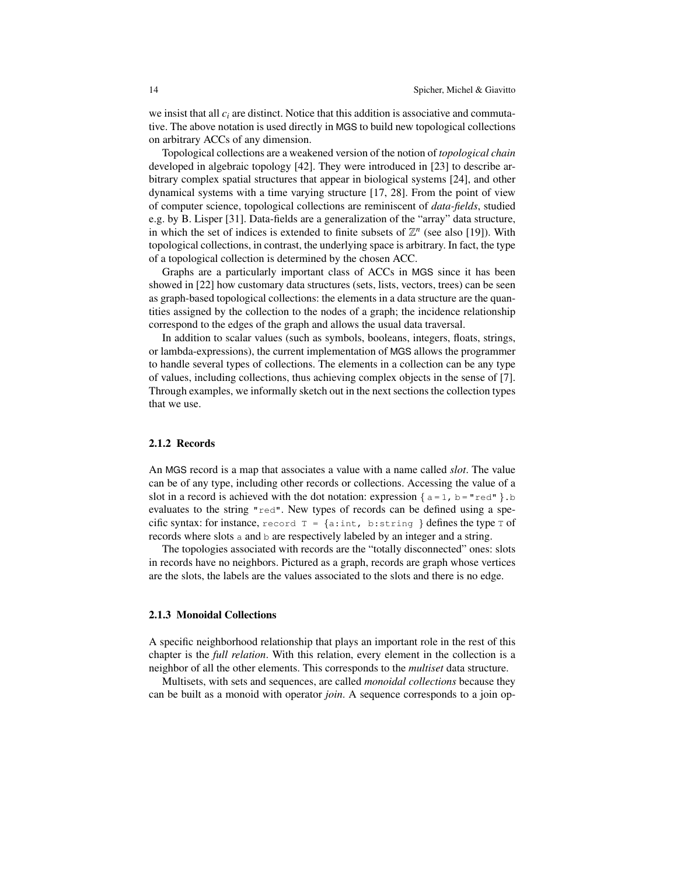we insist that all  $c_i$  are distinct. Notice that this addition is associative and commutative. The above notation is used directly in MGS to build new topological collections on arbitrary ACCs of any dimension.

Topological collections are a weakened version of the notion of *topological chain* developed in algebraic topology [42]. They were introduced in [23] to describe arbitrary complex spatial structures that appear in biological systems [24], and other dynamical systems with a time varying structure [17, 28]. From the point of view of computer science, topological collections are reminiscent of *data-fields*, studied e.g. by B. Lisper [31]. Data-fields are a generalization of the "array" data structure, in which the set of indices is extended to finite subsets of  $\mathbb{Z}^n$  (see also [19]). With topological collections, in contrast, the underlying space is arbitrary. In fact, the type of a topological collection is determined by the chosen ACC.

Graphs are a particularly important class of ACCs in MGS since it has been showed in [22] how customary data structures (sets, lists, vectors, trees) can be seen as graph-based topological collections: the elements in a data structure are the quantities assigned by the collection to the nodes of a graph; the incidence relationship correspond to the edges of the graph and allows the usual data traversal.

In addition to scalar values (such as symbols, booleans, integers, floats, strings, or lambda-expressions), the current implementation of MGS allows the programmer to handle several types of collections. The elements in a collection can be any type of values, including collections, thus achieving complex objects in the sense of [7]. Through examples, we informally sketch out in the next sections the collection types that we use.

## 2.1.2 Records

An MGS record is a map that associates a value with a name called *slot*. The value can be of any type, including other records or collections. Accessing the value of a slot in a record is achieved with the dot notation: expression  $\{a=1, b = "red" \}$ . evaluates to the string "red". New types of records can be defined using a specific syntax: for instance, record  $T = \{a: \text{int, b:string } \}$  defines the type  $T$  of records where slots a and  $\beta$  are respectively labeled by an integer and a string.

The topologies associated with records are the "totally disconnected" ones: slots in records have no neighbors. Pictured as a graph, records are graph whose vertices are the slots, the labels are the values associated to the slots and there is no edge.

### 2.1.3 Monoidal Collections

A specific neighborhood relationship that plays an important role in the rest of this chapter is the *full relation*. With this relation, every element in the collection is a neighbor of all the other elements. This corresponds to the *multiset* data structure.

Multisets, with sets and sequences, are called *monoidal collections* because they can be built as a monoid with operator *join*. A sequence corresponds to a join op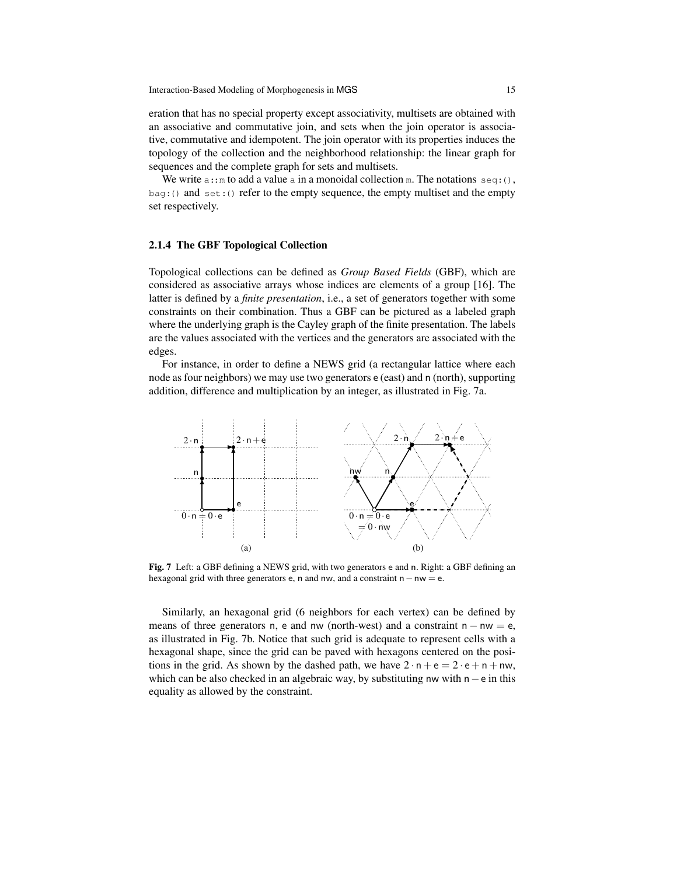eration that has no special property except associativity, multisets are obtained with an associative and commutative join, and sets when the join operator is associative, commutative and idempotent. The join operator with its properties induces the topology of the collection and the neighborhood relationship: the linear graph for sequences and the complete graph for sets and multisets.

We write  $a::m$  to add a value a in a monoidal collection m. The notations  $seq:()$ , bag:() and set:() refer to the empty sequence, the empty multiset and the empty set respectively.

## 2.1.4 The GBF Topological Collection

Topological collections can be defined as *Group Based Fields* (GBF), which are considered as associative arrays whose indices are elements of a group [16]. The latter is defined by a *finite presentation*, i.e., a set of generators together with some constraints on their combination. Thus a GBF can be pictured as a labeled graph where the underlying graph is the Cayley graph of the finite presentation. The labels are the values associated with the vertices and the generators are associated with the edges.

For instance, in order to define a NEWS grid (a rectangular lattice where each node as four neighbors) we may use two generators e (east) and n (north), supporting addition, difference and multiplication by an integer, as illustrated in Fig. 7a.



Fig. 7 Left: a GBF defining a NEWS grid, with two generators e and n. Right: a GBF defining an hexagonal grid with three generators e, n and nw, and a constraint n – nw = e.

Similarly, an hexagonal grid (6 neighbors for each vertex) can be defined by means of three generators n, e and nw (north-west) and a constraint  $n - nw = e$ , as illustrated in Fig. 7b. Notice that such grid is adequate to represent cells with a hexagonal shape, since the grid can be paved with hexagons centered on the positions in the grid. As shown by the dashed path, we have  $2 \cdot n + e = 2 \cdot e + n + n\omega$ , which can be also checked in an algebraic way, by substituting nw with n−e in this equality as allowed by the constraint.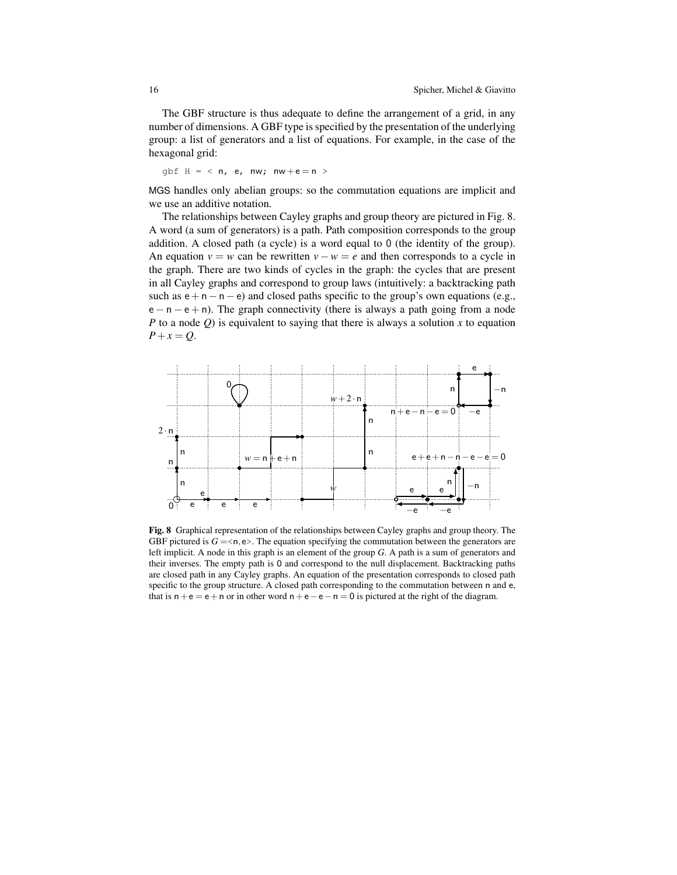The GBF structure is thus adequate to define the arrangement of a grid, in any number of dimensions. A GBF type is specified by the presentation of the underlying group: a list of generators and a list of equations. For example, in the case of the hexagonal grid:

gbf  $H = \langle n, e, nw; nw+e=n \rangle$ 

MGS handles only abelian groups: so the commutation equations are implicit and we use an additive notation.

The relationships between Cayley graphs and group theory are pictured in Fig. 8. A word (a sum of generators) is a path. Path composition corresponds to the group addition. A closed path (a cycle) is a word equal to 0 (the identity of the group). An equation  $v = w$  can be rewritten  $v - w = e$  and then corresponds to a cycle in the graph. There are two kinds of cycles in the graph: the cycles that are present in all Cayley graphs and correspond to group laws (intuitively: a backtracking path such as  $e + n - n - e$ ) and closed paths specific to the group's own equations (e.g.,  $e - n - e + n$ ). The graph connectivity (there is always a path going from a node *P* to a node *Q*) is equivalent to saying that there is always a solution *x* to equation  $P + x = Q$ .



Fig. 8 Graphical representation of the relationships between Cayley graphs and group theory. The GBF pictured is  $G = \langle n, e \rangle$ . The equation specifying the commutation between the generators are left implicit. A node in this graph is an element of the group *G*. A path is a sum of generators and their inverses. The empty path is 0 and correspond to the null displacement. Backtracking paths are closed path in any Cayley graphs. An equation of the presentation corresponds to closed path specific to the group structure. A closed path corresponding to the commutation between n and e, that is  $n + e = e + n$  or in other word  $n + e - e - n = 0$  is pictured at the right of the diagram.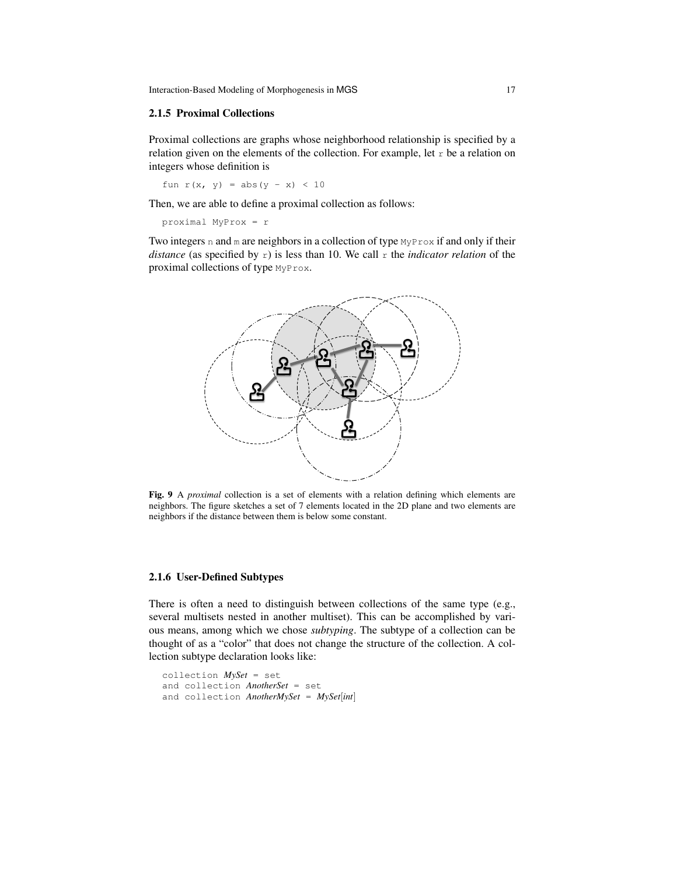## 2.1.5 Proximal Collections

Proximal collections are graphs whose neighborhood relationship is specified by a relation given on the elements of the collection. For example, let  $r$  be a relation on integers whose definition is

fun  $r(x, y) = abs(y - x) < 10$ 

Then, we are able to define a proximal collection as follows:

proximal MyProx = r

Two integers n and m are neighbors in a collection of type  $MyProx$  if and only if their *distance* (as specified by r) is less than 10. We call r the *indicator relation* of the proximal collections of type MyProx.



Fig. 9 A *proximal* collection is a set of elements with a relation defining which elements are neighbors. The figure sketches a set of 7 elements located in the 2D plane and two elements are neighbors if the distance between them is below some constant.

### 2.1.6 User-Defined Subtypes

There is often a need to distinguish between collections of the same type (e.g., several multisets nested in another multiset). This can be accomplished by various means, among which we chose *subtyping*. The subtype of a collection can be thought of as a "color" that does not change the structure of the collection. A collection subtype declaration looks like:

```
collection MySet = set
and collection AnotherSet = set
and collection AnotherMySet = MySet[int]
```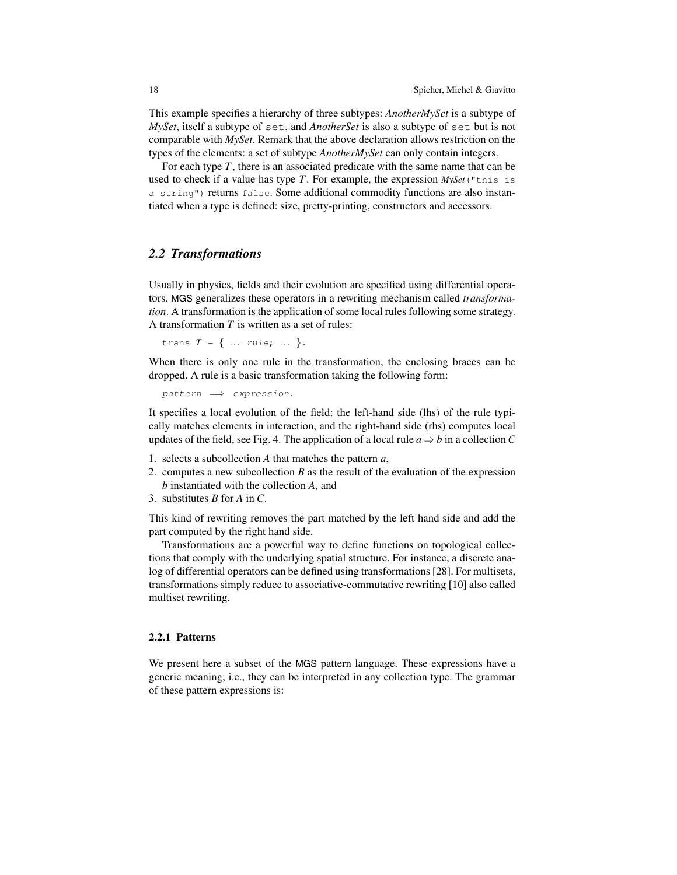This example specifies a hierarchy of three subtypes: *AnotherMySet* is a subtype of *MySet*, itself a subtype of set, and *AnotherSet* is also a subtype of set but is not comparable with *MySet*. Remark that the above declaration allows restriction on the types of the elements: a set of subtype *AnotherMySet* can only contain integers.

For each type *T*, there is an associated predicate with the same name that can be used to check if a value has type *T*. For example, the expression *MySet*("this is a string") returns false. Some additional commodity functions are also instantiated when a type is defined: size, pretty-printing, constructors and accessors.

# *2.2 Transformations*

Usually in physics, fields and their evolution are specified using differential operators. MGS generalizes these operators in a rewriting mechanism called *transformation*. A transformation is the application of some local rules following some strategy. A transformation *T* is written as a set of rules:

trans  $T = \{ ... \text{ rule}; ... \}$ .

When there is only one rule in the transformation, the enclosing braces can be dropped. A rule is a basic transformation taking the following form:

 $pattern \implies expression.$ 

It specifies a local evolution of the field: the left-hand side (lhs) of the rule typically matches elements in interaction, and the right-hand side (rhs) computes local updates of the field, see Fig. 4. The application of a local rule  $a \Rightarrow b$  in a collection C

- 1. selects a subcollection *A* that matches the pattern *a*,
- 2. computes a new subcollection *B* as the result of the evaluation of the expression *b* instantiated with the collection *A*, and
- 3. substitutes *B* for *A* in *C*.

This kind of rewriting removes the part matched by the left hand side and add the part computed by the right hand side.

Transformations are a powerful way to define functions on topological collections that comply with the underlying spatial structure. For instance, a discrete analog of differential operators can be defined using transformations [28]. For multisets, transformations simply reduce to associative-commutative rewriting [10] also called multiset rewriting.

# 2.2.1 Patterns

We present here a subset of the MGS pattern language. These expressions have a generic meaning, i.e., they can be interpreted in any collection type. The grammar of these pattern expressions is: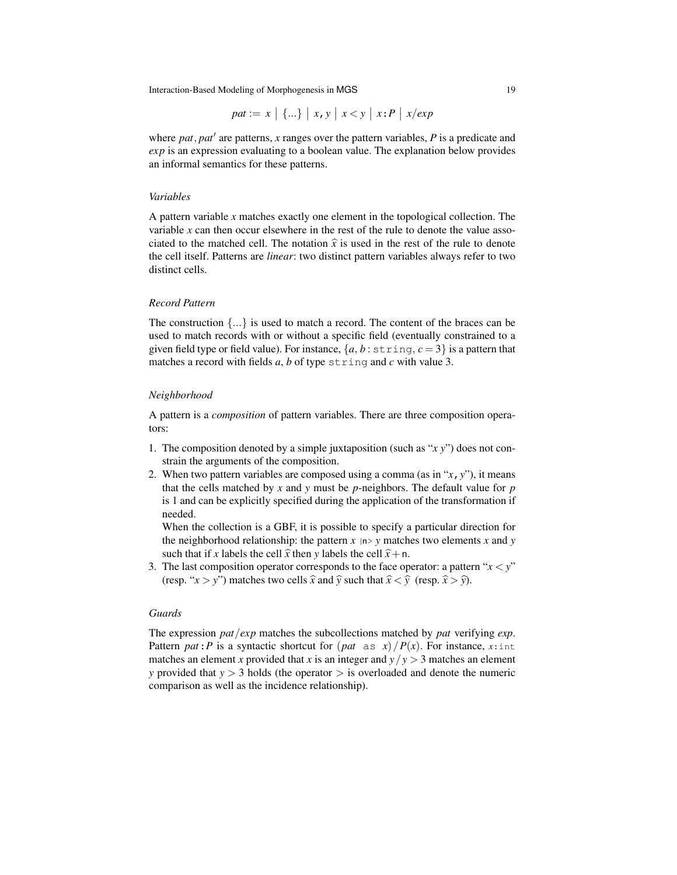$$
pat := x | \{...\} | x, y | x < y | x : P | x/exp
$$

where pat, pat' are patterns, *x* ranges over the pattern variables, *P* is a predicate and *exp* is an expression evaluating to a boolean value. The explanation below provides an informal semantics for these patterns.

#### *Variables*

A pattern variable *x* matches exactly one element in the topological collection. The variable *x* can then occur elsewhere in the rest of the rule to denote the value associated to the matched cell. The notation  $\hat{x}$  is used in the rest of the rule to denote the cell itself. Patterns are *linear*: two distinct pattern variables always refer to two distinct cells.

### *Record Pattern*

The construction  $\{...\}$  is used to match a record. The content of the braces can be used to match records with or without a specific field (eventually constrained to a given field type or field value). For instance,  $\{a, b : \text{string}, c = 3\}$  is a pattern that matches a record with fields *a*, *b* of type string and *c* with value 3.

#### *Neighborhood*

A pattern is a *composition* of pattern variables. There are three composition operators:

- 1. The composition denoted by a simple juxtaposition (such as "*x y*") does not constrain the arguments of the composition.
- 2. When two pattern variables are composed using a comma (as in "*x*,*y*"), it means that the cells matched by *x* and *y* must be *p*-neighbors. The default value for *p* is 1 and can be explicitly specified during the application of the transformation if needed.

When the collection is a GBF, it is possible to specify a particular direction for the neighborhood relationship: the pattern  $x \mid n > y$  matches two elements  $x$  and  $y$ such that if *x* labels the cell  $\hat{x}$  then *y* labels the cell  $\hat{x} + n$ .

3. The last composition operator corresponds to the face operator: a pattern " $x < y$ " (resp. " $x > y$ ") matches two cells  $\hat{x}$  and  $\hat{y}$  such that  $\hat{x} < \hat{y}$  (resp.  $\hat{x} > \hat{y}$ ).

# *Guards*

The expression *pat*/*exp* matches the subcollections matched by *pat* verifying *exp*. Pattern *pat*: P is a syntactic shortcut for  $(\text{pat as } x) / P(x)$ . For instance, *x*:int matches an element *x* provided that *x* is an integer and  $y/y > 3$  matches an element *y* provided that *y* > 3 holds (the operator > is overloaded and denote the numeric comparison as well as the incidence relationship).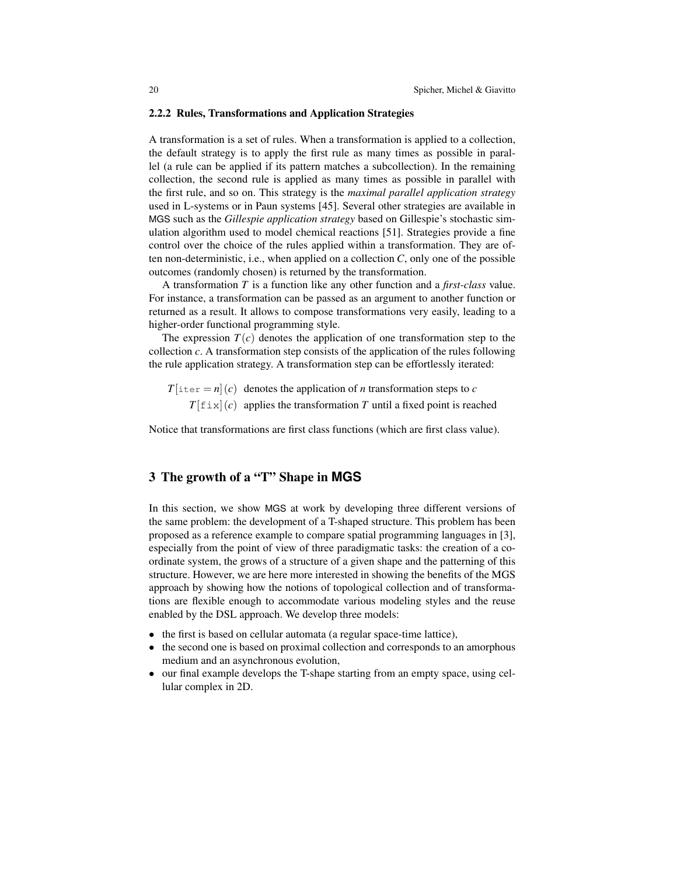#### 2.2.2 Rules, Transformations and Application Strategies

A transformation is a set of rules. When a transformation is applied to a collection, the default strategy is to apply the first rule as many times as possible in parallel (a rule can be applied if its pattern matches a subcollection). In the remaining collection, the second rule is applied as many times as possible in parallel with the first rule, and so on. This strategy is the *maximal parallel application strategy* used in L-systems or in Paun systems [45]. Several other strategies are available in MGS such as the *Gillespie application strategy* based on Gillespie's stochastic simulation algorithm used to model chemical reactions [51]. Strategies provide a fine control over the choice of the rules applied within a transformation. They are often non-deterministic, i.e., when applied on a collection  $C$ , only one of the possible outcomes (randomly chosen) is returned by the transformation.

A transformation *T* is a function like any other function and a *first-class* value. For instance, a transformation can be passed as an argument to another function or returned as a result. It allows to compose transformations very easily, leading to a higher-order functional programming style.

The expression  $T(c)$  denotes the application of one transformation step to the collection *c*. A transformation step consists of the application of the rules following the rule application strategy. A transformation step can be effortlessly iterated:

 $T$ [iter = *n*] (*c*) denotes the application of *n* transformation steps to *c* 

 $T[f\text{fix}](c)$  applies the transformation *T* until a fixed point is reached

Notice that transformations are first class functions (which are first class value).

# 3 The growth of a "T" Shape in **MGS**

In this section, we show MGS at work by developing three different versions of the same problem: the development of a T-shaped structure. This problem has been proposed as a reference example to compare spatial programming languages in [3], especially from the point of view of three paradigmatic tasks: the creation of a coordinate system, the grows of a structure of a given shape and the patterning of this structure. However, we are here more interested in showing the benefits of the MGS approach by showing how the notions of topological collection and of transformations are flexible enough to accommodate various modeling styles and the reuse enabled by the DSL approach. We develop three models:

- the first is based on cellular automata (a regular space-time lattice),
- the second one is based on proximal collection and corresponds to an amorphous medium and an asynchronous evolution,
- our final example develops the T-shape starting from an empty space, using cellular complex in 2D.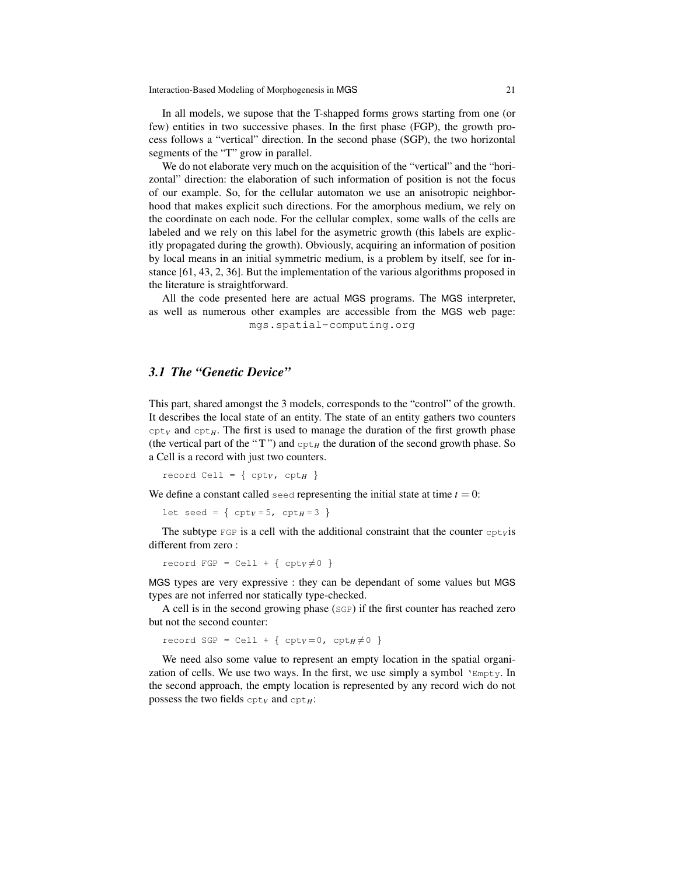In all models, we supose that the T-shapped forms grows starting from one (or few) entities in two successive phases. In the first phase (FGP), the growth process follows a "vertical" direction. In the second phase (SGP), the two horizontal segments of the "T" grow in parallel.

We do not elaborate very much on the acquisition of the "vertical" and the "horizontal" direction: the elaboration of such information of position is not the focus of our example. So, for the cellular automaton we use an anisotropic neighborhood that makes explicit such directions. For the amorphous medium, we rely on the coordinate on each node. For the cellular complex, some walls of the cells are labeled and we rely on this label for the asymetric growth (this labels are explicitly propagated during the growth). Obviously, acquiring an information of position by local means in an initial symmetric medium, is a problem by itself, see for instance [61, 43, 2, 36]. But the implementation of the various algorithms proposed in the literature is straightforward.

All the code presented here are actual MGS programs. The MGS interpreter, as well as numerous other examples are accessible from the MGS web page:

mgs.spatial-computing.org

# *3.1 The "Genetic Device"*

This part, shared amongst the 3 models, corresponds to the "control" of the growth. It describes the local state of an entity. The state of an entity gathers two counters  $\text{cpt}_V$  and  $\text{cpt}_H$ . The first is used to manage the duration of the first growth phase (the vertical part of the "T") and  $_{\text{cpt}}$  the duration of the second growth phase. So a Cell is a record with just two counters.

record Cell =  $\{ \text{cpt}_V, \text{cpt}_H \}$ 

We define a constant called seed representing the initial state at time  $t = 0$ :

```
let seed = \{ \text{cpt}_V = 5, \text{cpt}_H = 3 \}
```
The subtype  $FGP$  is a cell with the additional constraint that the counter  $cpt_V$  is different from zero :

```
record FGP = Cell + { cpt<sub>V</sub> \neq 0 }
```
MGS types are very expressive : they can be dependant of some values but MGS types are not inferred nor statically type-checked.

A cell is in the second growing phase (SGP) if the first counter has reached zero but not the second counter:

record SGP = Cell + {  $\text{cpt}_V = 0$ ,  $\text{cpt}_H \neq 0$  }

We need also some value to represent an empty location in the spatial organization of cells. We use two ways. In the first, we use simply a symbol 'Empty. In the second approach, the empty location is represented by any record wich do not possess the two fields  $\text{cpt}_V$  and  $\text{cpt}_H$ :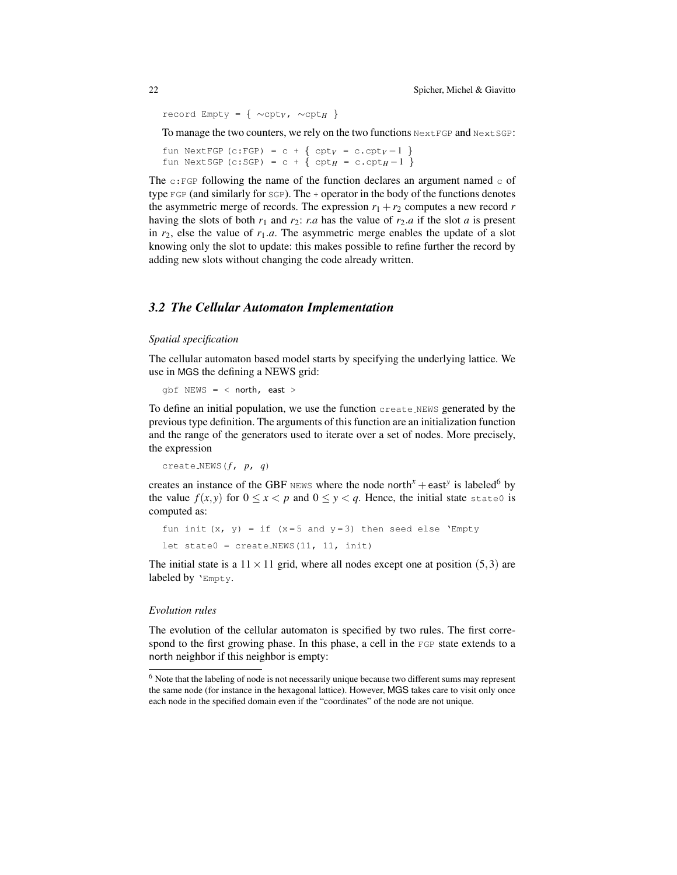```
record Empty = \{ \sim \text{cpt}_V, \sim \text{cpt}_H \}
```
To manage the two counters, we rely on the two functions NextFGP and NextSGP:

fun NextFGP  $(c:FGP) = c + \{ cptV = c.cptV - 1\}$ fun NextSGP (c:SGP) = c + { cpt<sub>H</sub> = c.cpt<sub>H</sub> −1 }

The c:FGP following the name of the function declares an argument named  $\circ$  of type FGP (and similarly for SGP). The + operator in the body of the functions denotes the asymmetric merge of records. The expression  $r_1 + r_2$  computes a new record *r* having the slots of both  $r_1$  and  $r_2$ : *r.a* has the value of  $r_2.a$  if the slot *a* is present in  $r_2$ , else the value of  $r_1.a$ . The asymmetric merge enables the update of a slot knowing only the slot to update: this makes possible to refine further the record by adding new slots without changing the code already written.

# *3.2 The Cellular Automaton Implementation*

## *Spatial specification*

The cellular automaton based model starts by specifying the underlying lattice. We use in MGS the defining a NEWS grid:

 $gbf$  NEWS = < north, east >

To define an initial population, we use the function  $\alpha$  reate NEWS generated by the previous type definition. The arguments of this function are an initialization function and the range of the generators used to iterate over a set of nodes. More precisely, the expression

create NEWS( *f*, *p*, *q*)

creates an instance of the GBF NEWS where the node north<sup>x</sup> + east<sup>y</sup> is labeled<sup>6</sup> by the value  $f(x, y)$  for  $0 \le x < p$  and  $0 \le y < q$ . Hence, the initial state state0 is computed as:

```
fun init (x, y) = if (x = 5 and y = 3) then seed else 'Empty'let state0 = \text{create} NEWS(11, 11, init)
```
The initial state is a  $11 \times 11$  grid, where all nodes except one at position (5,3) are labeled by 'Empty.

#### *Evolution rules*

The evolution of the cellular automaton is specified by two rules. The first correspond to the first growing phase. In this phase, a cell in the FGP state extends to a north neighbor if this neighbor is empty:

<sup>6</sup> Note that the labeling of node is not necessarily unique because two different sums may represent the same node (for instance in the hexagonal lattice). However, MGS takes care to visit only once each node in the specified domain even if the "coordinates" of the node are not unique.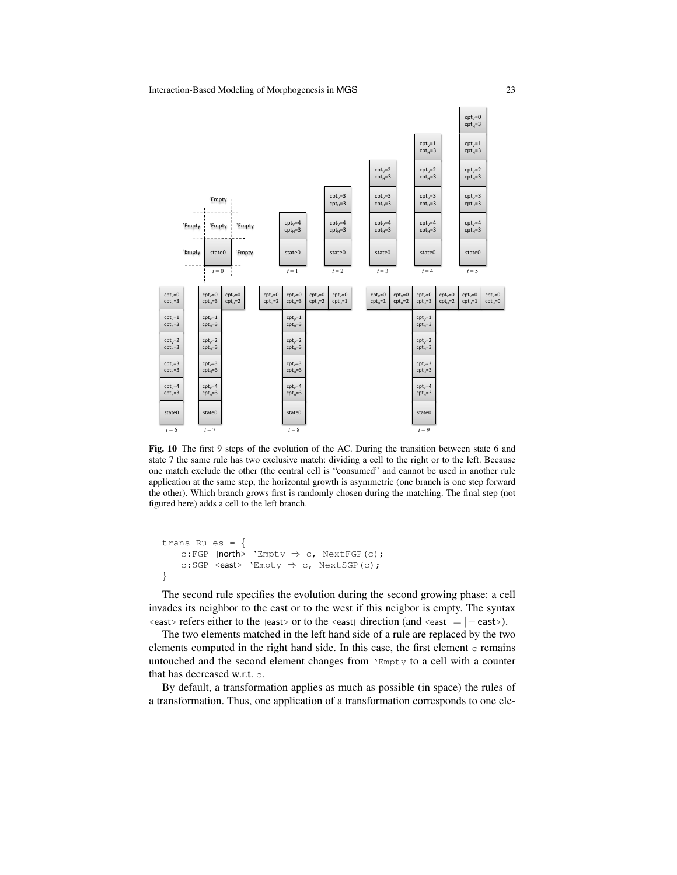

Fig. 10 The first 9 steps of the evolution of the AC. During the transition between state 6 and state 7 the same rule has two exclusive match: dividing a cell to the right or to the left. Because one match exclude the other (the central cell is "consumed" and cannot be used in another rule application at the same step, the horizontal growth is asymmetric (one branch is one step forward the other). Which branch grows first is randomly chosen during the matching. The final step (not figured here) adds a cell to the left branch.

```
trans Rules = {
    c:FGP |north> 'Empty \Rightarrow c, NextFGP(c);
    c:SGP <east> 'Empty \Rightarrow c, NextSGP(c);
}
```
The second rule specifies the evolution during the second growing phase: a cell invades its neighbor to the east or to the west if this neigbor is empty. The syntax  $\leq$  refers either to the  $|$ east> or to the  $\leq$ east| direction (and  $\leq$ east| =  $|-$ east>).

The two elements matched in the left hand side of a rule are replaced by the two elements computed in the right hand side. In this case, the first element  $\circ$  remains untouched and the second element changes from 'Empty to a cell with a counter that has decreased w.r.t. c.

By default, a transformation applies as much as possible (in space) the rules of a transformation. Thus, one application of a transformation corresponds to one ele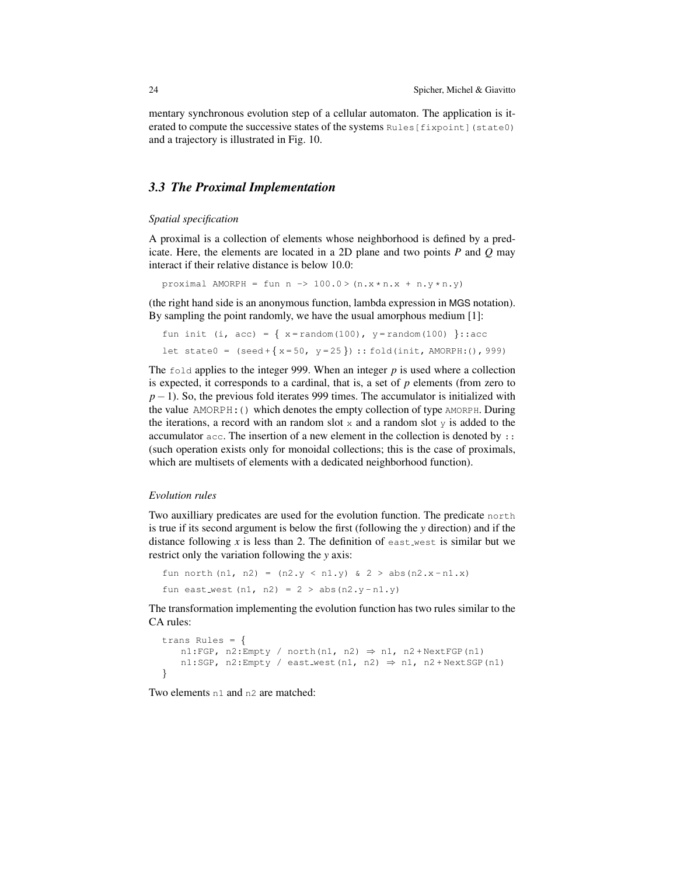mentary synchronous evolution step of a cellular automaton. The application is iterated to compute the successive states of the systems Rules [fixpoint] (state0) and a trajectory is illustrated in Fig. 10.

# *3.3 The Proximal Implementation*

### *Spatial specification*

A proximal is a collection of elements whose neighborhood is defined by a predicate. Here, the elements are located in a 2D plane and two points *P* and *Q* may interact if their relative distance is below 10.0:

proximal AMORPH = fun n  $\rightarrow$  100.0 > (n.x \* n.x + n.y \* n.y)

(the right hand side is an anonymous function, lambda expression in MGS notation). By sampling the point randomly, we have the usual amorphous medium [1]:

```
fun init (i, acc) = {x =random(100), y =random(100)}::acc
let state0 = (seed + {x=50, y=25}) : fold(int, AMORPH:(), 999)
```
The fold applies to the integer 999. When an integer *p* is used where a collection is expected, it corresponds to a cardinal, that is, a set of *p* elements (from zero to *p*−1). So, the previous fold iterates 999 times. The accumulator is initialized with the value AMORPH:() which denotes the empty collection of type AMORPH. During the iterations, a record with an random slot  $\times$  and a random slot  $\vee$  is added to the accumulator acc. The insertion of a new element in the collection is denoted by :: (such operation exists only for monoidal collections; this is the case of proximals, which are multisets of elements with a dedicated neighborhood function).

#### *Evolution rules*

Two auxilliary predicates are used for the evolution function. The predicate north is true if its second argument is below the first (following the *y* direction) and if the distance following  $x$  is less than 2. The definition of east west is similar but we restrict only the variation following the *y* axis:

fun north  $(n1, n2) = (n2.y < n1.y)$  & 2 > abs(n2.x-n1.x) fun east\_west  $(n1, n2) = 2 > abs(n2.y - n1.y)$ 

The transformation implementing the evolution function has two rules similar to the CA rules:

```
trans Rules = {
   n1:FGP, n2:Empty / north(n1, n2) \Rightarrow n1, n2 + NextFGP(n1)
   n1:SGP, n2:Empty / east_west(n1, n2) \Rightarrow n1, n2 + NextSGP(n1)
}
```
Two elements n1 and n2 are matched: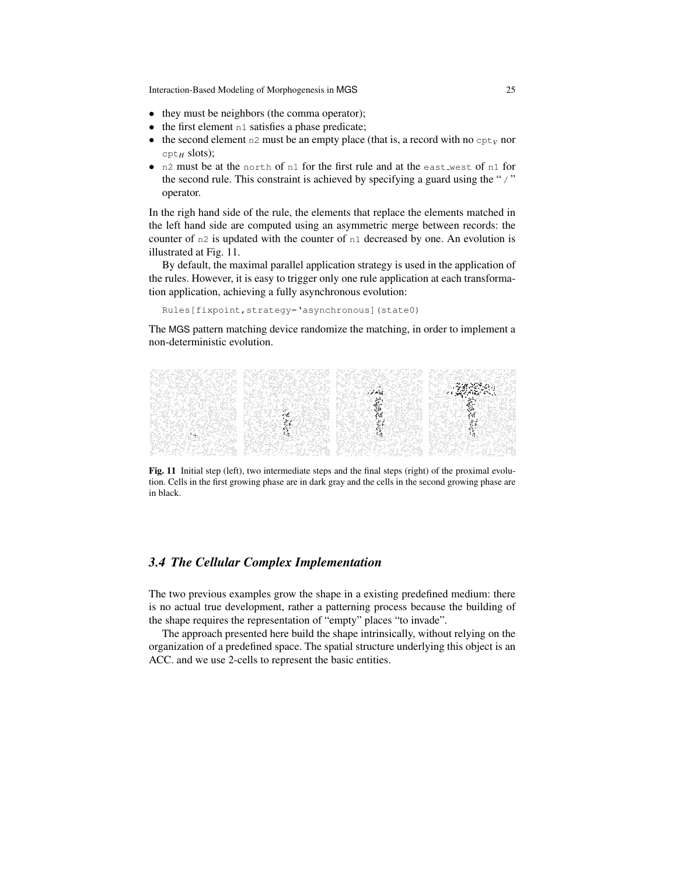- they must be neighbors (the comma operator);
- $\bullet$  the first element n1 satisfies a phase predicate;
- the second element n2 must be an empty place (that is, a record with no  $\text{cpt}_V$  nor  $\text{cpt}_H$  slots);
- n2 must be at the north of n1 for the first rule and at the east west of n1 for the second rule. This constraint is achieved by specifying a guard using the " / " operator.

In the righ hand side of the rule, the elements that replace the elements matched in the left hand side are computed using an asymmetric merge between records: the counter of  $n2$  is updated with the counter of  $n1$  decreased by one. An evolution is illustrated at Fig. 11.

By default, the maximal parallel application strategy is used in the application of the rules. However, it is easy to trigger only one rule application at each transformation application, achieving a fully asynchronous evolution:

Rules[fixpoint,strategy='asynchronous](state0)

The MGS pattern matching device randomize the matching, in order to implement a non-deterministic evolution.



Fig. 11 Initial step (left), two intermediate steps and the final steps (right) of the proximal evolution. Cells in the first growing phase are in dark gray and the cells in the second growing phase are in black.

# *3.4 The Cellular Complex Implementation*

The two previous examples grow the shape in a existing predefined medium: there is no actual true development, rather a patterning process because the building of the shape requires the representation of "empty" places "to invade".

The approach presented here build the shape intrinsically, without relying on the organization of a predefined space. The spatial structure underlying this object is an ACC. and we use 2-cells to represent the basic entities.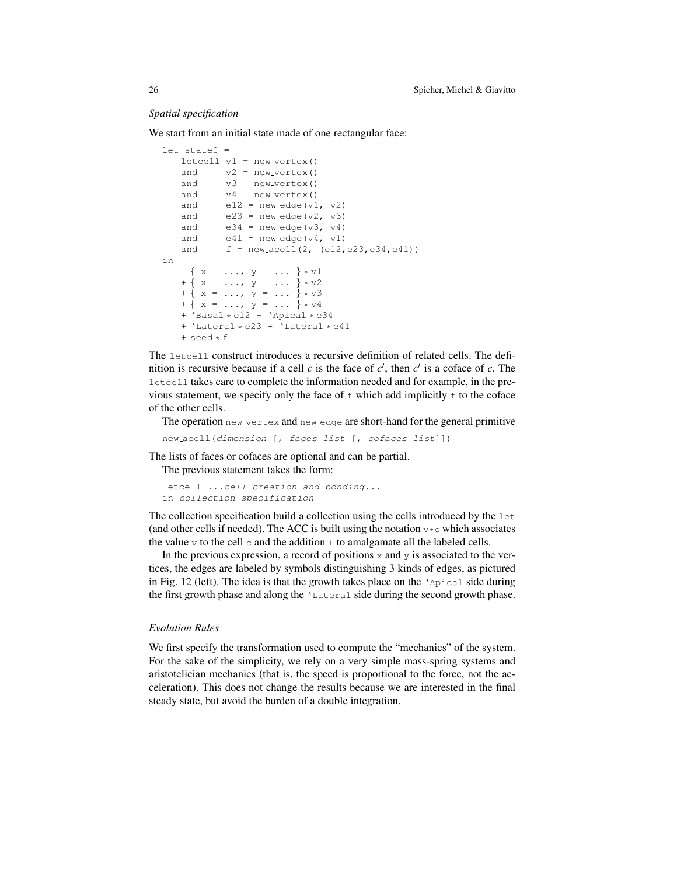## *Spatial specification*

We start from an initial state made of one rectangular face:

```
let state0 =letcell v1 = new_vertex()and v2 = new\_vertex()and v3 = new\_vertex()and v4 = new\_vertex()and e12 = new-edge(v1, v2)and e^{23} = new_edge(v2, v3)
   and e34 = new-edge(v3, v4)and e41 = new-edge(v4, v1)and f = new-acell(2, (e12, e23, e34, e41))in
    \{ x = \ldots, y = \ldots \} * v1+ { x = ..., y = ... } * v2
   + { x = ..., y = ... } * v3
   + { x = ..., y = ... } * v4
   + 'Basal * e12 + 'Apical * e34
   + 'Lateral * e23 + 'Lateral * e41
   + seed * f
```
The letcell construct introduces a recursive definition of related cells. The definition is recursive because if a cell *c* is the face of  $c'$ , then  $c'$  is a coface of *c*. The letcell takes care to complete the information needed and for example, in the previous statement, we specify only the face of  $f$  which add implicitly  $f$  to the coface of the other cells.

The operation new vertex and new edge are short-hand for the general primitive

new acell(dimension [, faces list [, cofaces list]])

The lists of faces or cofaces are optional and can be partial.

The previous statement takes the form:

```
letcell ...cell creation and bonding...
in collection-specification
```
The collection specification build a collection using the cells introduced by the let (and other cells if needed). The ACC is built using the notation  $v * c$  which associates the value  $\nu$  to the cell  $\sigma$  and the addition + to amalgamate all the labeled cells.

In the previous expression, a record of positions  $x$  and  $y$  is associated to the vertices, the edges are labeled by symbols distinguishing 3 kinds of edges, as pictured in Fig. 12 (left). The idea is that the growth takes place on the 'Apical side during the first growth phase and along the 'Lateral side during the second growth phase.

## *Evolution Rules*

We first specify the transformation used to compute the "mechanics" of the system. For the sake of the simplicity, we rely on a very simple mass-spring systems and aristotelician mechanics (that is, the speed is proportional to the force, not the acceleration). This does not change the results because we are interested in the final steady state, but avoid the burden of a double integration.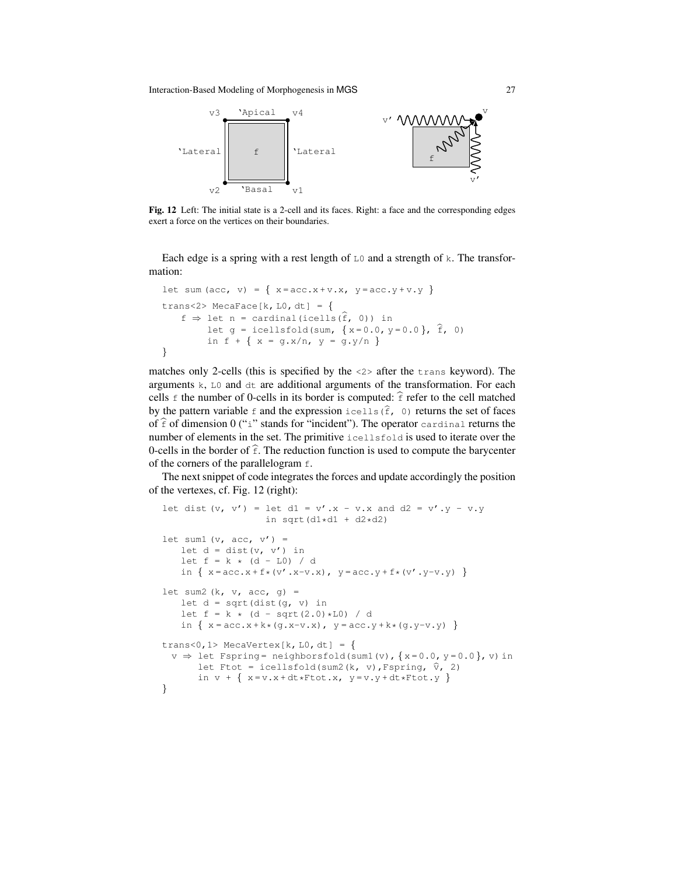

Fig. 12 Left: The initial state is a 2-cell and its faces. Right: a face and the corresponding edges exert a force on the vertices on their boundaries.

Each edge is a spring with a rest length of L0 and a strength of k. The transformation:

```
let sum (acc, v) = {x = acc.x + v.x, y = acc.y + v.y }
trans<2> MecaFace[k, L0, dt] = {
   f \Rightarrow let n = cardinal(icells(\hat{f}, 0)) in
         let q = icellsfold(sum, {x=0.0, y=0.0}, \hat{f}, 0)
         in f + \{ x = g.x/n, y = g.y/n \}}
```
matches only 2-cells (this is specified by the <2> after the trans keyword). The arguments  $k$ ,  $L_0$  and  $dt$  are additional arguments of the transformation. For each cells  $f$  the number of 0-cells in its border is computed:  $\hat{f}$  refer to the cell matched by the pattern variable f and the expression icells  $(\hat{f}, 0)$  returns the set of faces of  $\hat{f}$  of dimension 0 ("i" stands for "incident"). The operator cardinal returns the number of elements in the set. The primitive icellsfold is used to iterate over the 0-cells in the border of  $\hat{f}$ . The reduction function is used to compute the barycenter of the corners of the parallelogram  $f$ .

The next snippet of code integrates the forces and update accordingly the position of the vertexes, cf. Fig. 12 (right):

```
let dist (v, v') = let d1 = v'.x - v.x and d2 = v'.y - v.yin sqrt(d1*d1 + d2*d2)let sum1 (v, acc, v') =
   let d = dist(v, v') in
   let f = k * (d - L0) / din \{ x = acc.x + f*(v', x-v.x), y = acc.y + f*(v', y-v.y) \}let sum2 (k, v, acc, q) =let d = sqrt(dist(g, v) inlet f = k * (d - sqrt(2.0) * L0) / din \{ x = acc.x + k*(g.x-v.x), y = acc.y + k*(g.y-v.y) \}trans<0,1> MecaVertex[k, L0, dt] = {
  v \Rightarrow let Fspring= neighborsfold(sum1(v), {x=0.0, y=0.0}, v) in
      let Ftot = icellsfold(sum2(k, v), Fspring, \hat{v}, 2)
      in v + \{ x = v.x + dt * Ftot.x, y = v.y + dt * Ftot.y \}}
```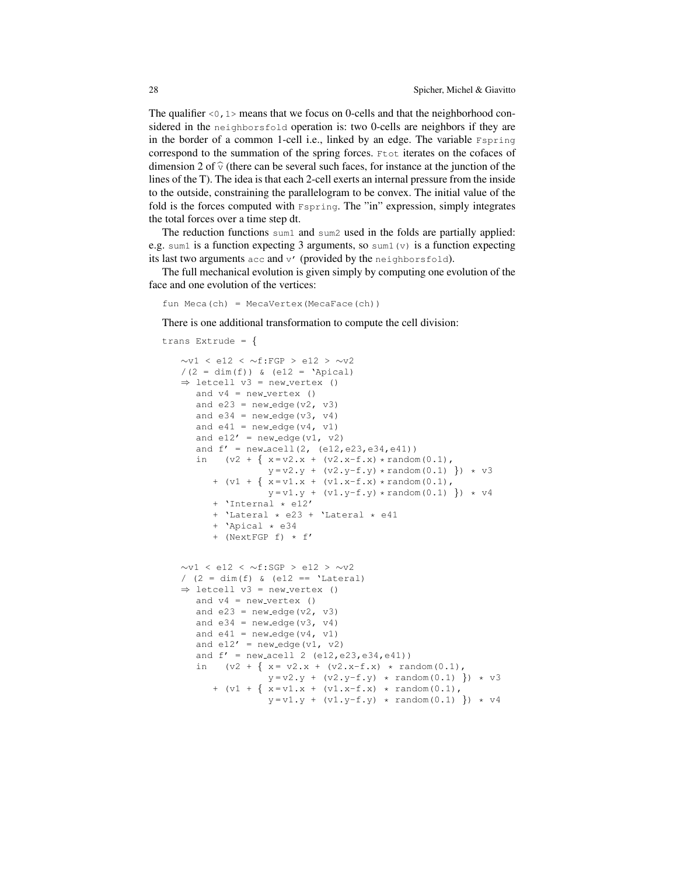The qualifier  $\langle 0, 1 \rangle$  means that we focus on 0-cells and that the neighborhood considered in the neighborsfold operation is: two 0-cells are neighbors if they are in the border of a common 1-cell i.e., linked by an edge. The variable Fspring correspond to the summation of the spring forces. Ftot iterates on the cofaces of dimension 2 of  $\hat{v}$  (there can be several such faces, for instance at the junction of the lines of the T). The idea is that each 2-cell exerts an internal pressure from the inside to the outside, constraining the parallelogram to be convex. The initial value of the fold is the forces computed with Fspring. The "in" expression, simply integrates the total forces over a time step dt.

The reduction functions sum1 and sum2 used in the folds are partially applied: e.g. sum1 is a function expecting 3 arguments, so sum1 (v) is a function expecting its last two arguments acc and  $v'$  (provided by the neighborsfold).

The full mechanical evolution is given simply by computing one evolution of the face and one evolution of the vertices:

fun Meca(ch) = MecaVertex(MecaFace(ch))

There is one additional transformation to compute the cell division:

```
trans Extrude = {
   ∼v1 < e12 < ∼f:FGP > e12 > ∼v2
   /(2 = dim(f)) & (el2 = 'Apical)\Rightarrow letcell v3 = new_vertex ()
      and v4 = new\_vertex ()
      and e23 = new-edge(v2, v3)and e34 = new-edge(v3, v4)and e41 = new-edge(v4, v1)and e12' = new_edge(v1, v2)
      and f' = new-acell(2, 0.012, 0.023, 0.034, 0.041)in (v2 + \{ x = v2 \cdot x + (v2 \cdot x - f \cdot x) * \text{random}(0.1) \}y = v^2 \cdot y + (v^2 \cdot y - f \cdot y) * random(0.1) \}) * v^3+ (v1 + \{ x = v1.x + (v1.x-f.x) * random(0.1) \}y = v1.y + (v1.y-f.y) * random(0.1) \} * v4
          + 'Internal * e12'
          + 'Lateral * e23 + 'Lateral * e41
          + 'Apical * e34
          + (NextFGP f) * f'
   ∼v1 < e12 < ∼f:SGP > e12 > ∼v2
   / (2 = dim(f) & (e12 == 'Lateral))\Rightarrow letcell v3 = new_vertex ()
      and v4 = new-vertex ()
      and e23 = new-edge(v2, v3)and e34 = new-edge(v3, v4)and e41 = new-edge(v4, v1)and e12' = new_edge(v1, v2)
      and f' = new_{\text{accell 2 (el2, e23, e34, e41))}in (v2 + {x = v2.x + (v2.x-f.x) * random(0.1)}y = v^2 \cdot y + (v^2 \cdot y - f \cdot y) \cdot \text{random}(0.1) \} * v3
          + (v1 + { x = v1.x + (v1.x-f.x) * random(0.1) }y = v1. y + (v1. y - f. y) * random(0.1) \} * v4
```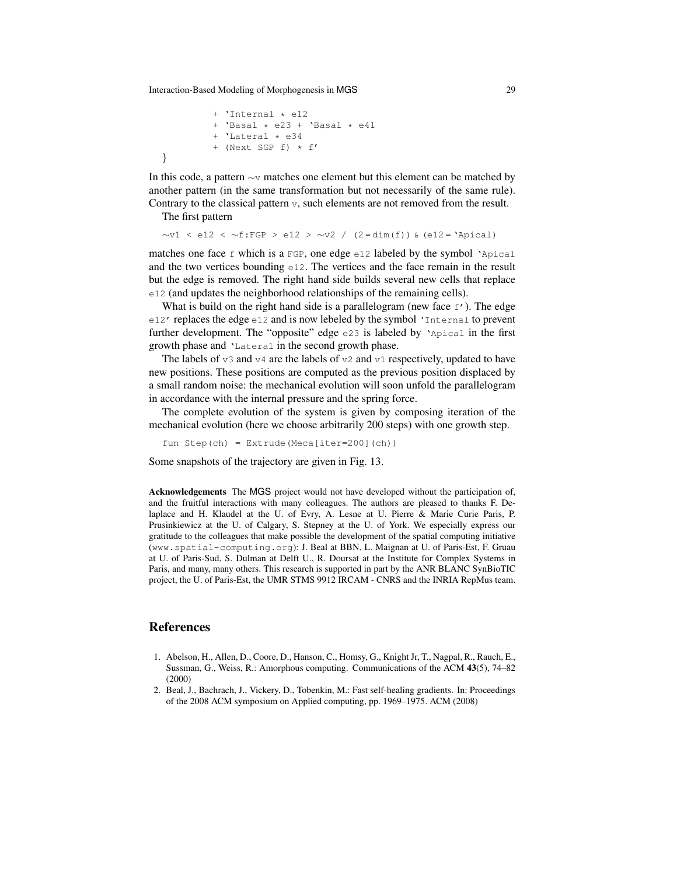```
+ 'Internal * e12
+ 'Basal * e23 + 'Basal * e41
+ 'Lateral * e34
+ (Next SGP f) * f'
```
In this code, a pattern ∼v matches one element but this element can be matched by another pattern (in the same transformation but not necessarily of the same rule). Contrary to the classical pattern  $\nu$ , such elements are not removed from the result.

The first pattern

}

∼v1 < e12 < ∼f:FGP > e12 > ∼v2 / (2 = dim(f)) & (e12 = 'Apical)

matches one face  $f$  which is a FGP, one edge  $e12$  labeled by the symbol 'Apical and the two vertices bounding e12. The vertices and the face remain in the result but the edge is removed. The right hand side builds several new cells that replace e12 (and updates the neighborhood relationships of the remaining cells).

What is build on the right hand side is a parallelogram (new face  $f'$ ). The edge  $e12'$  replaces the edge  $e12$  and is now lebeled by the symbol 'Internal to prevent further development. The "opposite" edge e23 is labeled by 'Apical in the first growth phase and 'Lateral in the second growth phase.

The labels of  $v3$  and  $v4$  are the labels of  $v2$  and  $v1$  respectively, updated to have new positions. These positions are computed as the previous position displaced by a small random noise: the mechanical evolution will soon unfold the parallelogram in accordance with the internal pressure and the spring force.

The complete evolution of the system is given by composing iteration of the mechanical evolution (here we choose arbitrarily 200 steps) with one growth step.

fun Step(ch) = Extrude(Meca[iter=200](ch))

Some snapshots of the trajectory are given in Fig. 13.

Acknowledgements The MGS project would not have developed without the participation of, and the fruitful interactions with many colleagues. The authors are pleased to thanks F. Delaplace and H. Klaudel at the U. of Evry, A. Lesne at U. Pierre & Marie Curie Paris, P. Prusinkiewicz at the U. of Calgary, S. Stepney at the U. of York. We especially express our gratitude to the colleagues that make possible the development of the spatial computing initiative (www.spatial-computing.org): J. Beal at BBN, L. Maignan at U. of Paris-Est, F. Gruau at U. of Paris-Sud, S. Dulman at Delft U., R. Doursat at the Institute for Complex Systems in Paris, and many, many others. This research is supported in part by the ANR BLANC SynBioTIC project, the U. of Paris-Est, the UMR STMS 9912 IRCAM - CNRS and the INRIA RepMus team.

# References

- 1. Abelson, H., Allen, D., Coore, D., Hanson, C., Homsy, G., Knight Jr, T., Nagpal, R., Rauch, E., Sussman, G., Weiss, R.: Amorphous computing. Communications of the ACM 43(5), 74–82 (2000)
- 2. Beal, J., Bachrach, J., Vickery, D., Tobenkin, M.: Fast self-healing gradients. In: Proceedings of the 2008 ACM symposium on Applied computing, pp. 1969–1975. ACM (2008)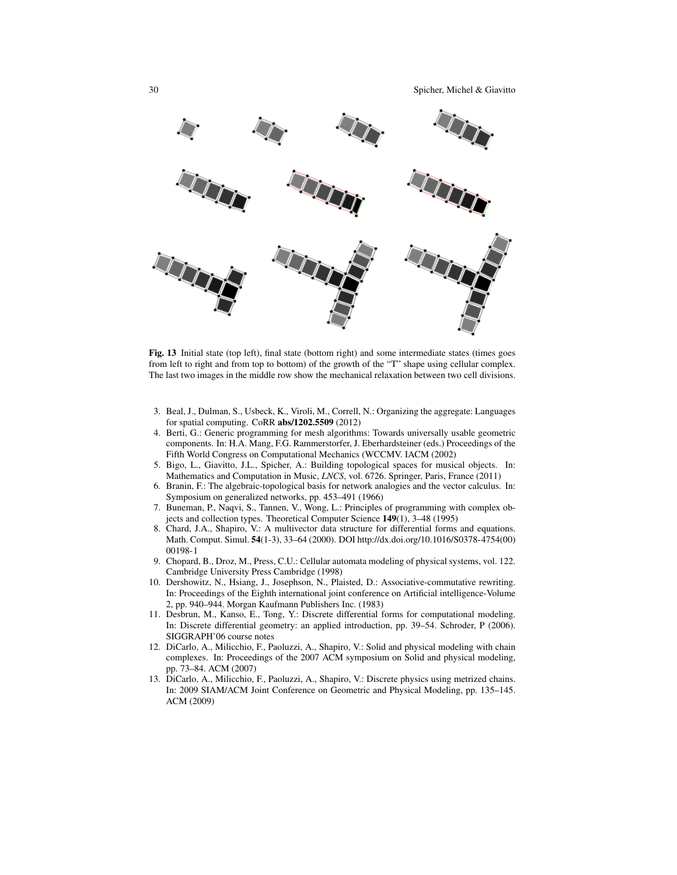

Fig. 13 Initial state (top left), final state (bottom right) and some intermediate states (times goes from left to right and from top to bottom) of the growth of the "T" shape using cellular complex. The last two images in the middle row show the mechanical relaxation between two cell divisions.

- 3. Beal, J., Dulman, S., Usbeck, K., Viroli, M., Correll, N.: Organizing the aggregate: Languages for spatial computing. CoRR abs/1202.5509 (2012)
- 4. Berti, G.: Generic programming for mesh algorithms: Towards universally usable geometric components. In: H.A. Mang, F.G. Rammerstorfer, J. Eberhardsteiner (eds.) Proceedings of the Fifth World Congress on Computational Mechanics (WCCMV. IACM (2002)
- 5. Bigo, L., Giavitto, J.L., Spicher, A.: Building topological spaces for musical objects. In: Mathematics and Computation in Music, *LNCS*, vol. 6726. Springer, Paris, France (2011)
- 6. Branin, F.: The algebraic-topological basis for network analogies and the vector calculus. In: Symposium on generalized networks, pp. 453–491 (1966)
- 7. Buneman, P., Naqvi, S., Tannen, V., Wong, L.: Principles of programming with complex objects and collection types. Theoretical Computer Science 149(1), 3–48 (1995)
- 8. Chard, J.A., Shapiro, V.: A multivector data structure for differential forms and equations. Math. Comput. Simul. 54(1-3), 33–64 (2000). DOI http://dx.doi.org/10.1016/S0378-4754(00) 00198-1
- 9. Chopard, B., Droz, M., Press, C.U.: Cellular automata modeling of physical systems, vol. 122. Cambridge University Press Cambridge (1998)
- 10. Dershowitz, N., Hsiang, J., Josephson, N., Plaisted, D.: Associative-commutative rewriting. In: Proceedings of the Eighth international joint conference on Artificial intelligence-Volume 2, pp. 940–944. Morgan Kaufmann Publishers Inc. (1983)
- 11. Desbrun, M., Kanso, E., Tong, Y.: Discrete differential forms for computational modeling. In: Discrete differential geometry: an applied introduction, pp. 39–54. Schroder, P (2006). SIGGRAPH'06 course notes
- 12. DiCarlo, A., Milicchio, F., Paoluzzi, A., Shapiro, V.: Solid and physical modeling with chain complexes. In: Proceedings of the 2007 ACM symposium on Solid and physical modeling, pp. 73–84. ACM (2007)
- 13. DiCarlo, A., Milicchio, F., Paoluzzi, A., Shapiro, V.: Discrete physics using metrized chains. In: 2009 SIAM/ACM Joint Conference on Geometric and Physical Modeling, pp. 135–145. ACM (2009)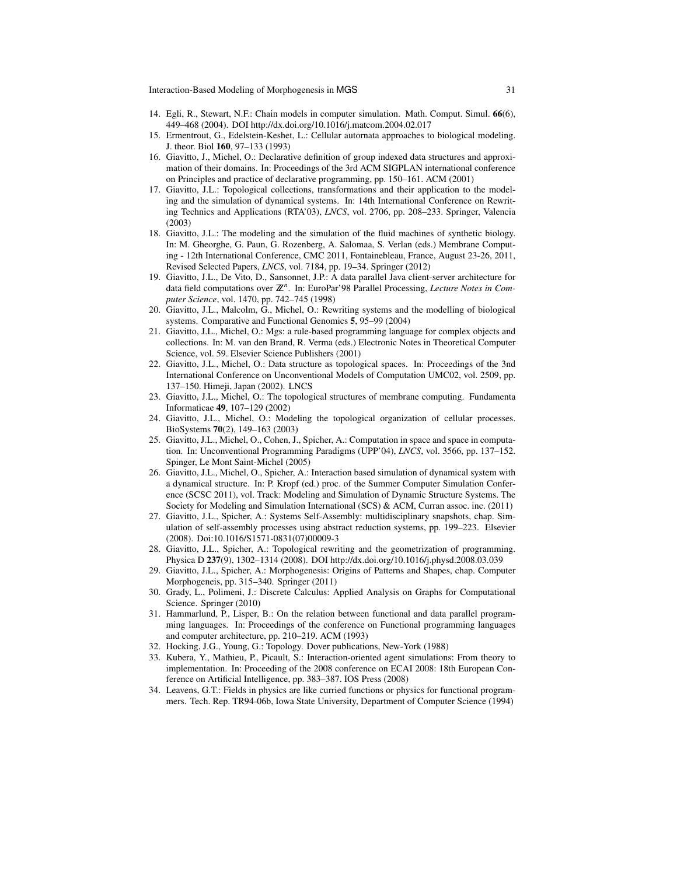- 14. Egli, R., Stewart, N.F.: Chain models in computer simulation. Math. Comput. Simul. 66(6), 449–468 (2004). DOI http://dx.doi.org/10.1016/j.matcom.2004.02.017
- 15. Ermentrout, G., Edelstein-Keshet, L.: Cellular autornata approaches to biological modeling. J. theor. Biol 160, 97–133 (1993)
- 16. Giavitto, J., Michel, O.: Declarative definition of group indexed data structures and approximation of their domains. In: Proceedings of the 3rd ACM SIGPLAN international conference on Principles and practice of declarative programming, pp. 150–161. ACM (2001)
- 17. Giavitto, J.L.: Topological collections, transformations and their application to the modeling and the simulation of dynamical systems. In: 14th International Conference on Rewriting Technics and Applications (RTA'03), *LNCS*, vol. 2706, pp. 208–233. Springer, Valencia (2003)
- 18. Giavitto, J.L.: The modeling and the simulation of the fluid machines of synthetic biology. In: M. Gheorghe, G. Paun, G. Rozenberg, A. Salomaa, S. Verlan (eds.) Membrane Computing - 12th International Conference, CMC 2011, Fontainebleau, France, August 23-26, 2011, Revised Selected Papers, *LNCS*, vol. 7184, pp. 19–34. Springer (2012)
- 19. Giavitto, J.L., De Vito, D., Sansonnet, J.P.: A data parallel Java client-server architecture for data field computations over  $\mathbb{Z}^n$ . In: EuroPar'98 Parallel Processing, *Lecture Notes in Computer Science*, vol. 1470, pp. 742–745 (1998)
- 20. Giavitto, J.L., Malcolm, G., Michel, O.: Rewriting systems and the modelling of biological systems. Comparative and Functional Genomics 5, 95–99 (2004)
- 21. Giavitto, J.L., Michel, O.: Mgs: a rule-based programming language for complex objects and collections. In: M. van den Brand, R. Verma (eds.) Electronic Notes in Theoretical Computer Science, vol. 59. Elsevier Science Publishers (2001)
- 22. Giavitto, J.L., Michel, O.: Data structure as topological spaces. In: Proceedings of the 3nd International Conference on Unconventional Models of Computation UMC02, vol. 2509, pp. 137–150. Himeji, Japan (2002). LNCS
- 23. Giavitto, J.L., Michel, O.: The topological structures of membrane computing. Fundamenta Informaticae 49, 107–129 (2002)
- 24. Giavitto, J.L., Michel, O.: Modeling the topological organization of cellular processes. BioSystems 70(2), 149–163 (2003)
- 25. Giavitto, J.L., Michel, O., Cohen, J., Spicher, A.: Computation in space and space in computation. In: Unconventional Programming Paradigms (UPP'04), *LNCS*, vol. 3566, pp. 137–152. Spinger, Le Mont Saint-Michel (2005)
- 26. Giavitto, J.L., Michel, O., Spicher, A.: Interaction based simulation of dynamical system with a dynamical structure. In: P. Kropf (ed.) proc. of the Summer Computer Simulation Conference (SCSC 2011), vol. Track: Modeling and Simulation of Dynamic Structure Systems. The Society for Modeling and Simulation International (SCS) & ACM, Curran assoc. inc. (2011)
- 27. Giavitto, J.L., Spicher, A.: Systems Self-Assembly: multidisciplinary snapshots, chap. Simulation of self-assembly processes using abstract reduction systems, pp. 199–223. Elsevier (2008). Doi:10.1016/S1571-0831(07)00009-3
- 28. Giavitto, J.L., Spicher, A.: Topological rewriting and the geometrization of programming. Physica D 237(9), 1302–1314 (2008). DOI http://dx.doi.org/10.1016/j.physd.2008.03.039
- 29. Giavitto, J.L., Spicher, A.: Morphogenesis: Origins of Patterns and Shapes, chap. Computer Morphogeneis, pp. 315–340. Springer (2011)
- 30. Grady, L., Polimeni, J.: Discrete Calculus: Applied Analysis on Graphs for Computational Science. Springer (2010)
- 31. Hammarlund, P., Lisper, B.: On the relation between functional and data parallel programming languages. In: Proceedings of the conference on Functional programming languages and computer architecture, pp. 210–219. ACM (1993)
- 32. Hocking, J.G., Young, G.: Topology. Dover publications, New-York (1988)
- 33. Kubera, Y., Mathieu, P., Picault, S.: Interaction-oriented agent simulations: From theory to implementation. In: Proceeding of the 2008 conference on ECAI 2008: 18th European Conference on Artificial Intelligence, pp. 383–387. IOS Press (2008)
- 34. Leavens, G.T.: Fields in physics are like curried functions or physics for functional programmers. Tech. Rep. TR94-06b, Iowa State University, Department of Computer Science (1994)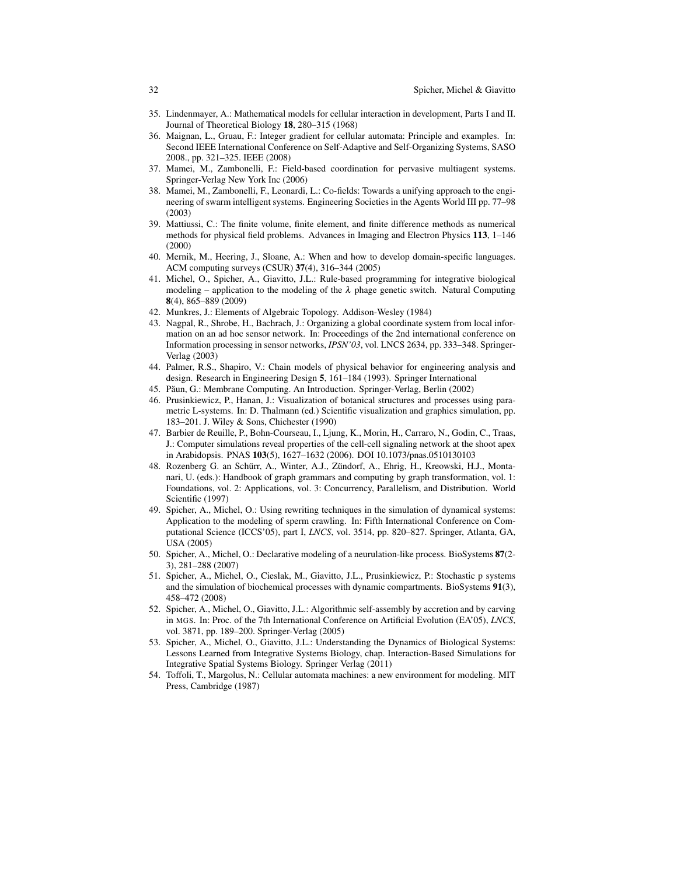- 35. Lindenmayer, A.: Mathematical models for cellular interaction in development, Parts I and II. Journal of Theoretical Biology 18, 280–315 (1968)
- 36. Maignan, L., Gruau, F.: Integer gradient for cellular automata: Principle and examples. In: Second IEEE International Conference on Self-Adaptive and Self-Organizing Systems, SASO 2008., pp. 321–325. IEEE (2008)
- 37. Mamei, M., Zambonelli, F.: Field-based coordination for pervasive multiagent systems. Springer-Verlag New York Inc (2006)
- 38. Mamei, M., Zambonelli, F., Leonardi, L.: Co-fields: Towards a unifying approach to the engineering of swarm intelligent systems. Engineering Societies in the Agents World III pp. 77–98 (2003)
- 39. Mattiussi, C.: The finite volume, finite element, and finite difference methods as numerical methods for physical field problems. Advances in Imaging and Electron Physics 113, 1–146 (2000)
- 40. Mernik, M., Heering, J., Sloane, A.: When and how to develop domain-specific languages. ACM computing surveys (CSUR) 37(4), 316–344 (2005)
- 41. Michel, O., Spicher, A., Giavitto, J.L.: Rule-based programming for integrative biological modeling – application to the modeling of the  $\lambda$  phage genetic switch. Natural Computing 8(4), 865–889 (2009)
- 42. Munkres, J.: Elements of Algebraic Topology. Addison-Wesley (1984)
- 43. Nagpal, R., Shrobe, H., Bachrach, J.: Organizing a global coordinate system from local information on an ad hoc sensor network. In: Proceedings of the 2nd international conference on Information processing in sensor networks, *IPSN'03*, vol. LNCS 2634, pp. 333–348. Springer-Verlag (2003)
- 44. Palmer, R.S., Shapiro, V.: Chain models of physical behavior for engineering analysis and design. Research in Engineering Design 5, 161–184 (1993). Springer International
- 45. Păun, G.: Membrane Computing. An Introduction. Springer-Verlag, Berlin (2002)
- 46. Prusinkiewicz, P., Hanan, J.: Visualization of botanical structures and processes using parametric L-systems. In: D. Thalmann (ed.) Scientific visualization and graphics simulation, pp. 183–201. J. Wiley & Sons, Chichester (1990)
- 47. Barbier de Reuille, P., Bohn-Courseau, I., Ljung, K., Morin, H., Carraro, N., Godin, C., Traas, J.: Computer simulations reveal properties of the cell-cell signaling network at the shoot apex in Arabidopsis. PNAS 103(5), 1627–1632 (2006). DOI 10.1073/pnas.0510130103
- 48. Rozenberg G. an Schürr, A., Winter, A.J., Zündorf, A., Ehrig, H., Kreowski, H.J., Montanari, U. (eds.): Handbook of graph grammars and computing by graph transformation, vol. 1: Foundations, vol. 2: Applications, vol. 3: Concurrency, Parallelism, and Distribution. World Scientific (1997)
- 49. Spicher, A., Michel, O.: Using rewriting techniques in the simulation of dynamical systems: Application to the modeling of sperm crawling. In: Fifth International Conference on Computational Science (ICCS'05), part I, *LNCS*, vol. 3514, pp. 820–827. Springer, Atlanta, GA, USA (2005)
- 50. Spicher, A., Michel, O.: Declarative modeling of a neurulation-like process. BioSystems 87(2- 3), 281–288 (2007)
- 51. Spicher, A., Michel, O., Cieslak, M., Giavitto, J.L., Prusinkiewicz, P.: Stochastic p systems and the simulation of biochemical processes with dynamic compartments. BioSystems 91(3), 458–472 (2008)
- 52. Spicher, A., Michel, O., Giavitto, J.L.: Algorithmic self-assembly by accretion and by carving in MGS. In: Proc. of the 7th International Conference on Artificial Evolution (EA'05), *LNCS*, vol. 3871, pp. 189–200. Springer-Verlag (2005)
- 53. Spicher, A., Michel, O., Giavitto, J.L.: Understanding the Dynamics of Biological Systems: Lessons Learned from Integrative Systems Biology, chap. Interaction-Based Simulations for Integrative Spatial Systems Biology. Springer Verlag (2011)
- 54. Toffoli, T., Margolus, N.: Cellular automata machines: a new environment for modeling. MIT Press, Cambridge (1987)